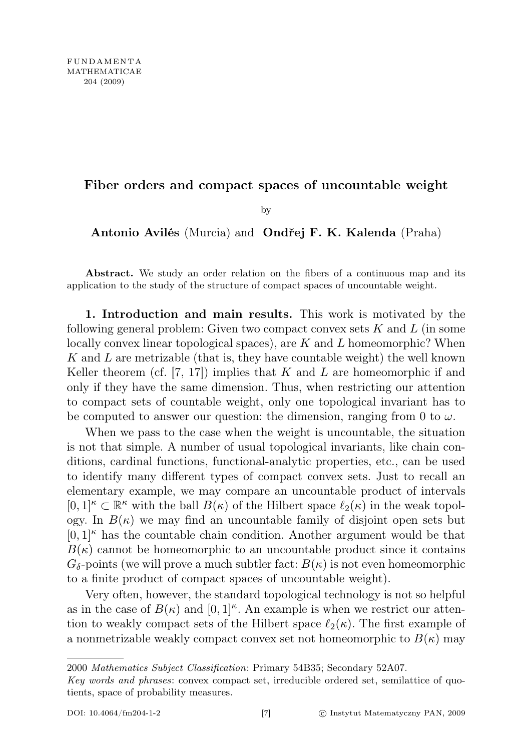## Fiber orders and compact spaces of uncountable weight

by

Antonio Avilés (Murcia) and Ondřej F. K. Kalenda (Praha)

Abstract. We study an order relation on the fibers of a continuous map and its application to the study of the structure of compact spaces of uncountable weight.

1. Introduction and main results. This work is motivated by the following general problem: Given two compact convex sets  $K$  and  $L$  (in some locally convex linear topological spaces), are  $K$  and  $L$  homeomorphic? When K and L are metrizable (that is, they have countable weight) the well known Keller theorem (cf. [7, 17]) implies that K and L are homeomorphic if and only if they have the same dimension. Thus, when restricting our attention to compact sets of countable weight, only one topological invariant has to be computed to answer our question: the dimension, ranging from 0 to  $\omega$ .

When we pass to the case when the weight is uncountable, the situation is not that simple. A number of usual topological invariants, like chain conditions, cardinal functions, functional-analytic properties, etc., can be used to identify many different types of compact convex sets. Just to recall an elementary example, we may compare an uncountable product of intervals  $[0,1]^\kappa \subset \mathbb{R}^\kappa$  with the ball  $B(\kappa)$  of the Hilbert space  $\ell_2(\kappa)$  in the weak topology. In  $B(\kappa)$  we may find an uncountable family of disjoint open sets but  $[0,1]$ <sup>k</sup> has the countable chain condition. Another argument would be that  $B(\kappa)$  cannot be homeomorphic to an uncountable product since it contains  $G_{\delta}$ -points (we will prove a much subtler fact:  $B(\kappa)$  is not even homeomorphic to a finite product of compact spaces of uncountable weight).

Very often, however, the standard topological technology is not so helpful as in the case of  $B(\kappa)$  and  $[0,1]^{\kappa}$ . An example is when we restrict our attention to weakly compact sets of the Hilbert space  $\ell_2(\kappa)$ . The first example of a nonmetrizable weakly compact convex set not homeomorphic to  $B(\kappa)$  may

<sup>2000</sup> Mathematics Subject Classification: Primary 54B35; Secondary 52A07.

Key words and phrases: convex compact set, irreducible ordered set, semilattice of quotients, space of probability measures.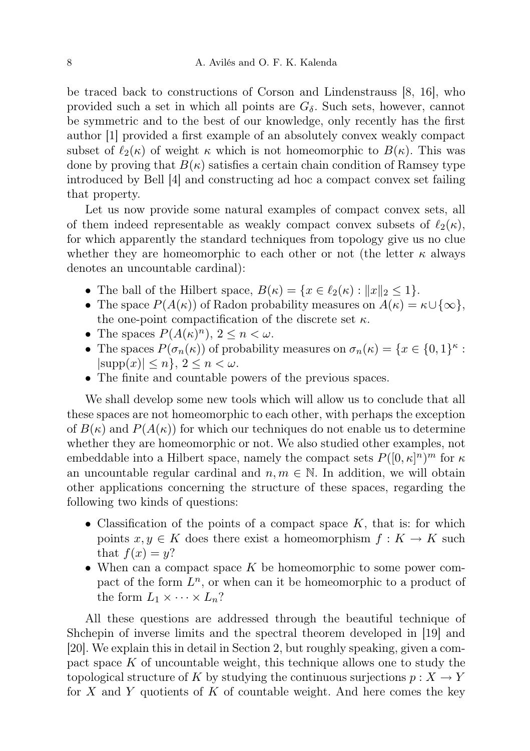be traced back to constructions of Corson and Lindenstrauss [8, 16], who provided such a set in which all points are  $G_{\delta}$ . Such sets, however, cannot be symmetric and to the best of our knowledge, only recently has the first author [1] provided a first example of an absolutely convex weakly compact subset of  $\ell_2(\kappa)$  of weight  $\kappa$  which is not homeomorphic to  $B(\kappa)$ . This was done by proving that  $B(\kappa)$  satisfies a certain chain condition of Ramsey type introduced by Bell [4] and constructing ad hoc a compact convex set failing that property.

Let us now provide some natural examples of compact convex sets, all of them indeed representable as weakly compact convex subsets of  $\ell_2(\kappa)$ , for which apparently the standard techniques from topology give us no clue whether they are homeomorphic to each other or not (the letter  $\kappa$  always denotes an uncountable cardinal):

- The ball of the Hilbert space,  $B(\kappa) = \{x \in \ell_2(\kappa) : ||x||_2 \leq 1\}.$
- The space  $P(A(\kappa))$  of Radon probability measures on  $A(\kappa) = \kappa \cup {\infty}$ , the one-point compactification of the discrete set  $\kappa$ .
- The spaces  $P(A(\kappa)^n)$ ,  $2 \leq n < \omega$ .
- The spaces  $P(\sigma_n(\kappa))$  of probability measures on  $\sigma_n(\kappa) = \{x \in \{0,1\}^\kappa :$  $|\text{supp}(x)| \leq n$ ,  $2 \leq n < \omega$ .
- The finite and countable powers of the previous spaces.

We shall develop some new tools which will allow us to conclude that all these spaces are not homeomorphic to each other, with perhaps the exception of  $B(\kappa)$  and  $P(A(\kappa))$  for which our techniques do not enable us to determine whether they are homeomorphic or not. We also studied other examples, not embeddable into a Hilbert space, namely the compact sets  $P([0, \kappa]^n)^m$  for  $\kappa$ an uncountable regular cardinal and  $n, m \in \mathbb{N}$ . In addition, we will obtain other applications concerning the structure of these spaces, regarding the following two kinds of questions:

- Classification of the points of a compact space  $K$ , that is: for which points  $x, y \in K$  does there exist a homeomorphism  $f: K \to K$  such that  $f(x) = y$ ?
- When can a compact space  $K$  be homeomorphic to some power compact of the form  $L^n$ , or when can it be homeomorphic to a product of the form  $L_1 \times \cdots \times L_n$ ?

All these questions are addressed through the beautiful technique of Shchepin of inverse limits and the spectral theorem developed in [19] and [20]. We explain this in detail in Section 2, but roughly speaking, given a compact space  $K$  of uncountable weight, this technique allows one to study the topological structure of K by studying the continuous surjections  $p: X \to Y$ for X and Y quotients of K of countable weight. And here comes the key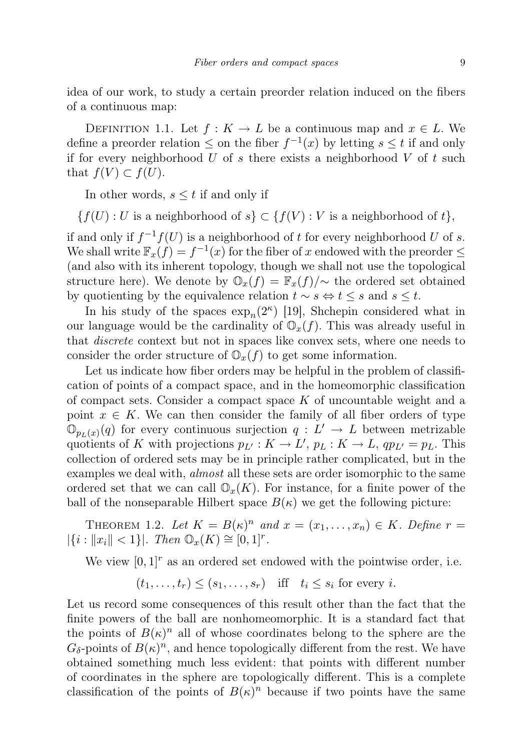idea of our work, to study a certain preorder relation induced on the fibers of a continuous map:

DEFINITION 1.1. Let  $f: K \to L$  be a continuous map and  $x \in L$ . We define a preorder relation  $\leq$  on the fiber  $f^{-1}(x)$  by letting  $s \leq t$  if and only if for every neighborhood U of s there exists a neighborhood V of t such that  $f(V) \subset f(U)$ .

In other words,  $s \leq t$  if and only if

 ${f(U): U$  is a neighborhood of  $s \subset {f(V): V}$  is a neighborhood of  $t$ ,

if and only if  $f^{-1}f(U)$  is a neighborhood of t for every neighborhood U of s. We shall write  $\mathbb{F}_x(f) = f^{-1}(x)$  for the fiber of x endowed with the preorder  $\leq$ (and also with its inherent topology, though we shall not use the topological structure here). We denote by  $\mathbb{O}_x(f) = \mathbb{F}_x(f)/\sim$  the ordered set obtained by quotienting by the equivalence relation  $t \sim s \Leftrightarrow t \leq s$  and  $s \leq t$ .

In his study of the spaces  $\exp_n(2^{\kappa})$  [19], Shchepin considered what in our language would be the cardinality of  $\mathbb{O}_x(f)$ . This was already useful in that discrete context but not in spaces like convex sets, where one needs to consider the order structure of  $\mathbb{O}_x(f)$  to get some information.

Let us indicate how fiber orders may be helpful in the problem of classification of points of a compact space, and in the homeomorphic classification of compact sets. Consider a compact space  $K$  of uncountable weight and a point  $x \in K$ . We can then consider the family of all fiber orders of type  $\mathbb{O}_{p_L(x)}(q)$  for every continuous surjection  $q: L' \to L$  between metrizable quotients of K with projections  $p_{L'} : K \to L'$ ,  $p_L : K \to L$ ,  $qp_{L'} = p_L$ . This collection of ordered sets may be in principle rather complicated, but in the examples we deal with, *almost* all these sets are order isomorphic to the same ordered set that we can call  $\mathbb{O}_x(K)$ . For instance, for a finite power of the ball of the nonseparable Hilbert space  $B(\kappa)$  we get the following picture:

THEOREM 1.2. Let  $K = B(\kappa)^n$  and  $x = (x_1, \ldots, x_n) \in K$ . Define  $r =$  $|\{i : ||x_i|| < 1\}|$ . Then  $\mathbb{O}_x(K) \cong [0,1]^r$ .

We view  $[0, 1]^r$  as an ordered set endowed with the pointwise order, i.e.

$$
(t_1, \ldots, t_r) \leq (s_1, \ldots, s_r)
$$
 iff  $t_i \leq s_i$  for every *i*.

Let us record some consequences of this result other than the fact that the finite powers of the ball are nonhomeomorphic. It is a standard fact that the points of  $B(\kappa)^n$  all of whose coordinates belong to the sphere are the  $G_{\delta}$ -points of  $B(\kappa)^n$ , and hence topologically different from the rest. We have obtained something much less evident: that points with different number of coordinates in the sphere are topologically different. This is a complete classification of the points of  $B(\kappa)^n$  because if two points have the same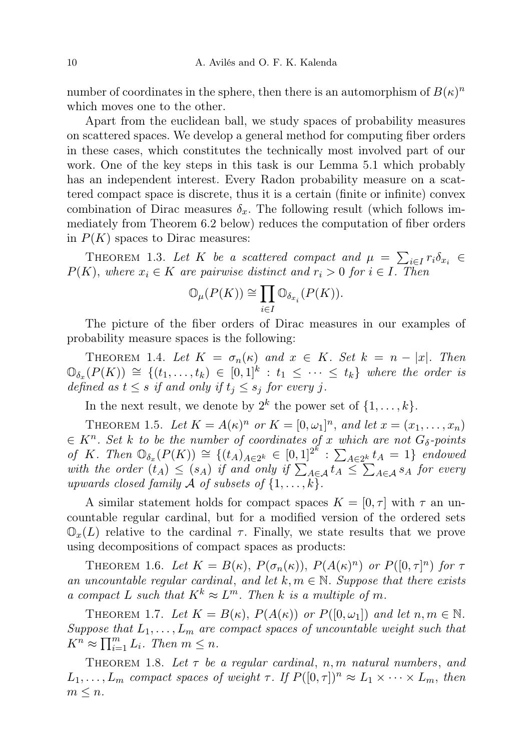number of coordinates in the sphere, then there is an automorphism of  $B(\kappa)^n$ which moves one to the other.

Apart from the euclidean ball, we study spaces of probability measures on scattered spaces. We develop a general method for computing fiber orders in these cases, which constitutes the technically most involved part of our work. One of the key steps in this task is our Lemma 5.1 which probably has an independent interest. Every Radon probability measure on a scattered compact space is discrete, thus it is a certain (finite or infinite) convex combination of Dirac measures  $\delta_x$ . The following result (which follows immediately from Theorem 6.2 below) reduces the computation of fiber orders in  $P(K)$  spaces to Dirac measures:

THEOREM 1.3. Let K be a scattered compact and  $\mu = \sum_{i \in I} r_i \delta_{x_i} \in$  $P(K)$ , where  $x_i \in K$  are pairwise distinct and  $r_i > 0$  for  $i \in I$ . Then

$$
\mathbb{O}_{\mu}(P(K)) \cong \prod_{i \in I} \mathbb{O}_{\delta_{x_i}}(P(K)).
$$

The picture of the fiber orders of Dirac measures in our examples of probability measure spaces is the following:

THEOREM 1.4. Let  $K = \sigma_n(\kappa)$  and  $x \in K$ . Set  $k = n - |x|$ . Then  $\mathbb{O}_{\delta_x}(P(K)) \cong \{(t_1,\ldots,t_k) \in [0,1]^k : t_1 \leq \cdots \leq t_k\}$  where the order is defined as  $t \leq s$  if and only if  $t_i \leq s_i$  for every j.

In the next result, we denote by  $2^k$  the power set of  $\{1, \ldots, k\}$ .

THEOREM 1.5. Let  $K = A(\kappa)^n$  or  $K = [0, \omega_1]^n$ , and let  $x = (x_1, \ldots, x_n)$  $\in K^n$ . Set k to be the number of coordinates of x which are not  $G_\delta$ -points of K. Then  $\mathbb{O}_{\delta_x}(P(K)) \cong \{(t_A)_{A \in 2^k} \in [0,1]^{2^k} : \sum_{A \in 2^k} t_A = 1\}$  endowed with the order  $(t_A) \leq (s_A)$  if and only if  $\sum_{A \in \mathcal{A}} t_A \leq \sum_{A \in \mathcal{A}} s_A$  for every upwards closed family A of subsets of  $\{1,\ldots,k\}$ .

A similar statement holds for compact spaces  $K = [0, \tau]$  with  $\tau$  an uncountable regular cardinal, but for a modified version of the ordered sets  $\mathbb{O}_x(L)$  relative to the cardinal  $\tau$ . Finally, we state results that we prove using decompositions of compact spaces as products:

THEOREM 1.6. Let  $K = B(\kappa)$ ,  $P(\sigma_n(\kappa))$ ,  $P(A(\kappa)^n)$  or  $P([0, \tau]^n)$  for  $\tau$ an uncountable regular cardinal, and let  $k, m \in \mathbb{N}$ . Suppose that there exists a compact L such that  $K^k \approx L^m$ . Then k is a multiple of m.

THEOREM 1.7. Let  $K = B(\kappa)$ ,  $P(A(\kappa))$  or  $P([0, \omega_1])$  and let  $n, m \in \mathbb{N}$ . Suppose that  $L_1, \ldots, L_m$  are compact spaces of uncountable weight such that  $K^n \approx \prod_{i=1}^m L_i$ . Then  $m \leq n$ .

THEOREM 1.8. Let  $\tau$  be a regular cardinal, n, m natural numbers, and  $L_1, \ldots, L_m$  compact spaces of weight  $\tau$ . If  $P([0, \tau])^n \approx L_1 \times \cdots \times L_m$ , then  $m \leq n$ .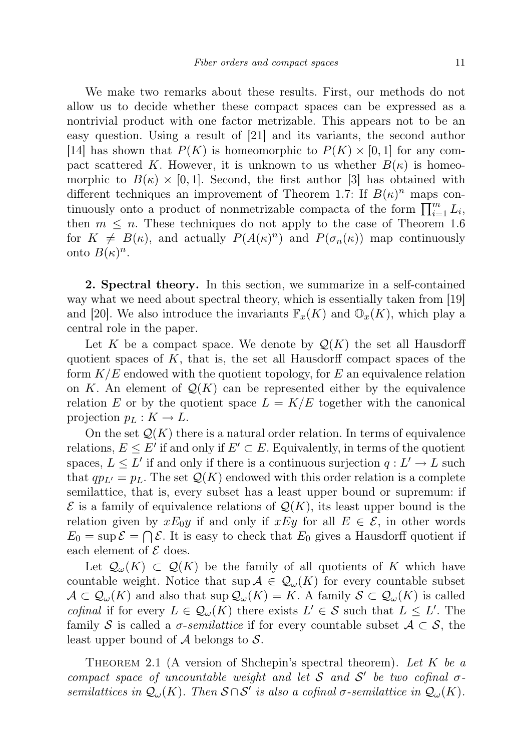We make two remarks about these results. First, our methods do not allow us to decide whether these compact spaces can be expressed as a nontrivial product with one factor metrizable. This appears not to be an easy question. Using a result of [21] and its variants, the second author [14] has shown that  $P(K)$  is homeomorphic to  $P(K) \times [0,1]$  for any compact scattered K. However, it is unknown to us whether  $B(\kappa)$  is homeomorphic to  $B(\kappa) \times [0,1]$ . Second, the first author [3] has obtained with different techniques an improvement of Theorem 1.7: If  $B(\kappa)^n$  maps continuously onto a product of nonmetrizable compacta of the form  $\prod_{i=1}^{m} L_i$ , then  $m \leq n$ . These techniques do not apply to the case of Theorem 1.6 for  $K \neq B(\kappa)$ , and actually  $P(A(\kappa)^n)$  and  $P(\sigma_n(\kappa))$  map continuously onto  $B(\kappa)^n$ .

2. Spectral theory. In this section, we summarize in a self-contained way what we need about spectral theory, which is essentially taken from [19] and [20]. We also introduce the invariants  $\mathbb{F}_x(K)$  and  $\mathbb{O}_x(K)$ , which play a central role in the paper.

Let K be a compact space. We denote by  $\mathcal{Q}(K)$  the set all Hausdorff quotient spaces of  $K$ , that is, the set all Hausdorff compact spaces of the form  $K/E$  endowed with the quotient topology, for E an equivalence relation on K. An element of  $\mathcal{Q}(K)$  can be represented either by the equivalence relation E or by the quotient space  $L = K/E$  together with the canonical projection  $p_L : K \to L$ .

On the set  $\mathcal{Q}(K)$  there is a natural order relation. In terms of equivalence relations,  $E \leq E'$  if and only if  $E' \subset E$ . Equivalently, in terms of the quotient spaces,  $L \leq L'$  if and only if there is a continuous surjection  $q: L' \to L$  such that  $qp_{L'} = p_L$ . The set  $\mathcal{Q}(K)$  endowed with this order relation is a complete semilattice, that is, every subset has a least upper bound or supremum: if  $\mathcal E$  is a family of equivalence relations of  $\mathcal Q(K)$ , its least upper bound is the relation given by  $xE_0y$  if and only if  $xEy$  for all  $E \in \mathcal{E}$ , in other words  $E_0 = \sup \mathcal{E} = \bigcap \mathcal{E}$ . It is easy to check that  $E_0$  gives a Hausdorff quotient if each element of  $\mathcal E$  does.

Let  $\mathcal{Q}_{\omega}(K) \subset \mathcal{Q}(K)$  be the family of all quotients of K which have countable weight. Notice that  $\sup \mathcal{A} \in \mathcal{Q}_{\omega}(K)$  for every countable subset  $\mathcal{A} \subset \mathcal{Q}_{\omega}(K)$  and also that sup  $\mathcal{Q}_{\omega}(K) = K$ . A family  $\mathcal{S} \subset \mathcal{Q}_{\omega}(K)$  is called cofinal if for every  $L \in \mathcal{Q}_{\omega}(K)$  there exists  $L' \in \mathcal{S}$  such that  $L \leq L'$ . The family S is called a  $\sigma$ -semilattice if for every countable subset  $\mathcal{A} \subset \mathcal{S}$ , the least upper bound of  $A$  belongs to  $S$ .

THEOREM 2.1 (A version of Shchepin's spectral theorem). Let  $K$  be a compact space of uncountable weight and let S and S' be two cofinal  $\sigma$ semilattices in  $\mathcal{Q}_{\omega}(K)$ . Then  $S \cap S'$  is also a cofinal  $\sigma$ -semilattice in  $\mathcal{Q}_{\omega}(K)$ .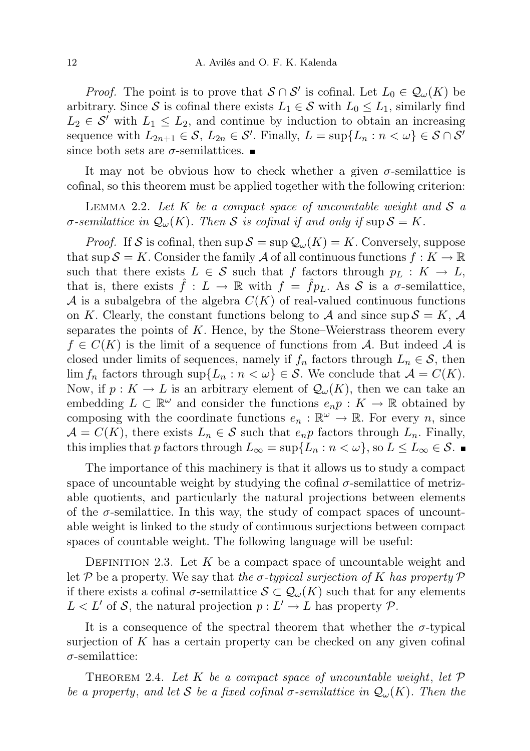*Proof.* The point is to prove that  $S \cap S'$  is cofinal. Let  $L_0 \in \mathcal{Q}_{\omega}(K)$  be arbitrary. Since S is cofinal there exists  $L_1 \in S$  with  $L_0 \leq L_1$ , similarly find  $L_2 \in \mathcal{S}'$  with  $L_1 \leq L_2$ , and continue by induction to obtain an increasing sequence with  $L_{2n+1} \in \mathcal{S}$ ,  $L_{2n} \in \mathcal{S}'$ . Finally,  $L = \sup\{L_n : n < \omega\} \in \mathcal{S} \cap \mathcal{S}'$ since both sets are  $\sigma$ -semilattices.

It may not be obvious how to check whether a given  $\sigma$ -semilattice is cofinal, so this theorem must be applied together with the following criterion:

LEMMA 2.2. Let K be a compact space of uncountable weight and  $S$  a σ-semilattice in  $\mathcal{Q}_{\omega}(K)$ . Then S is cofinal if and only if sup  $\mathcal{S} = K$ .

*Proof.* If S is cofinal, then  $\sup S = \sup Q_\omega(K) = K$ . Conversely, suppose that sup  $\mathcal{S} = K$ . Consider the family A of all continuous functions  $f: K \to \mathbb{R}$ such that there exists  $L \in \mathcal{S}$  such that f factors through  $p_L : K \to L$ , that is, there exists  $f: L \to \mathbb{R}$  with  $f = fp<sub>L</sub>$ . As S is a  $\sigma$ -semilattice, A is a subalgebra of the algebra  $C(K)$  of real-valued continuous functions on K. Clearly, the constant functions belong to A and since  $\sup S = K$ , A separates the points of  $K$ . Hence, by the Stone–Weierstrass theorem every  $f \in C(K)$  is the limit of a sequence of functions from A. But indeed A is closed under limits of sequences, namely if  $f_n$  factors through  $L_n \in \mathcal{S}$ , then  $\lim f_n$  factors through  $\sup\{L_n : n < \omega\} \in \mathcal{S}$ . We conclude that  $\mathcal{A} = C(K)$ . Now, if  $p: K \to L$  is an arbitrary element of  $\mathcal{Q}_{\omega}(K)$ , then we can take an embedding  $L \subset \mathbb{R}^{\omega}$  and consider the functions  $e_n p : K \to \mathbb{R}$  obtained by composing with the coordinate functions  $e_n : \mathbb{R}^{\omega} \to \mathbb{R}$ . For every n, since  $\mathcal{A} = C(K)$ , there exists  $L_n \in \mathcal{S}$  such that  $e_n p$  factors through  $L_n$ . Finally, this implies that p factors through  $L_{\infty} = \sup\{L_n : n < \omega\}$ , so  $L \le L_{\infty} \in \mathcal{S}$ .

The importance of this machinery is that it allows us to study a compact space of uncountable weight by studying the cofinal  $\sigma$ -semilattice of metrizable quotients, and particularly the natural projections between elements of the  $\sigma$ -semilattice. In this way, the study of compact spaces of uncountable weight is linked to the study of continuous surjections between compact spaces of countable weight. The following language will be useful:

DEFINITION 2.3. Let K be a compact space of uncountable weight and let P be a property. We say that the  $\sigma$ -typical surjection of K has property P if there exists a cofinal  $\sigma$ -semilattice  $S \subset \mathcal{Q}_{\omega}(K)$  such that for any elements  $L < L'$  of S, the natural projection  $p : L' \to L$  has property P.

It is a consequence of the spectral theorem that whether the  $\sigma$ -typical surjection of  $K$  has a certain property can be checked on any given cofinal  $\sigma$ -semilattice:

THEOREM 2.4. Let K be a compact space of uncountable weight, let  $\mathcal P$ be a property, and let S be a fixed cofinal  $\sigma$ -semilattice in  $\mathcal{Q}_{\omega}(K)$ . Then the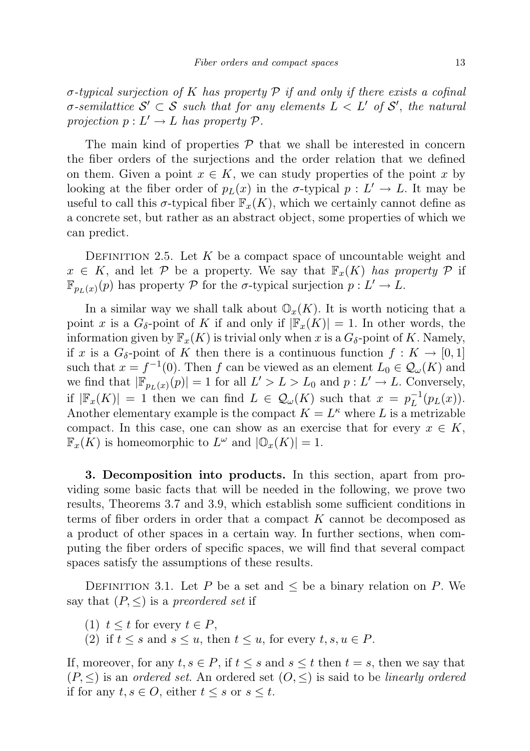$\sigma$ -typical surjection of K has property P if and only if there exists a cofinal  $\sigma$ -semilattice  $\mathcal{S}' \subset \mathcal{S}$  such that for any elements  $L \langle L' \rangle$  of  $\mathcal{S}'$ , the natural projection  $p: L' \to L$  has property  $P$ .

The main kind of properties  $P$  that we shall be interested in concern the fiber orders of the surjections and the order relation that we defined on them. Given a point  $x \in K$ , we can study properties of the point x by looking at the fiber order of  $p_L(x)$  in the  $\sigma$ -typical  $p: L' \to L$ . It may be useful to call this  $\sigma$ -typical fiber  $\mathbb{F}_x(K)$ , which we certainly cannot define as a concrete set, but rather as an abstract object, some properties of which we can predict.

DEFINITION 2.5. Let K be a compact space of uncountable weight and  $x \in K$ , and let P be a property. We say that  $\mathbb{F}_x(K)$  has property P if  $\mathbb{F}_{p_L(x)}(p)$  has property  $P$  for the  $\sigma$ -typical surjection  $p: L' \to L$ .

In a similar way we shall talk about  $\mathbb{O}_{x}(K)$ . It is worth noticing that a point x is a  $G_{\delta}$ -point of K if and only if  $|\mathbb{F}_x(K)| = 1$ . In other words, the information given by  $\mathbb{F}_x(K)$  is trivial only when x is a  $G_{\delta}$ -point of K. Namely, if x is a  $G_{\delta}$ -point of K then there is a continuous function  $f: K \to [0,1]$ such that  $x = f^{-1}(0)$ . Then f can be viewed as an element  $L_0 \in \mathcal{Q}_{\omega}(K)$  and we find that  $|\mathbb{F}_{p_L(x)}(p)| = 1$  for all  $L' > L > L_0$  and  $p: L' \to L$ . Conversely, if  $|\mathbb{F}_x(K)| = 1$  then we can find  $L \in \mathcal{Q}_{\omega}(K)$  such that  $x = p_L^{-1}$  $L^{-1}(p_L(x)).$ Another elementary example is the compact  $K = L^{\kappa}$  where L is a metrizable compact. In this case, one can show as an exercise that for every  $x \in K$ ,  $\mathbb{F}_x(K)$  is homeomorphic to  $L^{\omega}$  and  $|\mathbb{O}_x(K)| = 1$ .

3. Decomposition into products. In this section, apart from providing some basic facts that will be needed in the following, we prove two results, Theorems 3.7 and 3.9, which establish some sufficient conditions in terms of fiber orders in order that a compact K cannot be decomposed as a product of other spaces in a certain way. In further sections, when computing the fiber orders of specific spaces, we will find that several compact spaces satisfy the assumptions of these results.

DEFINITION 3.1. Let P be a set and  $\leq$  be a binary relation on P. We say that  $(P, \leq)$  is a preordered set if

- (1)  $t \leq t$  for every  $t \in P$ ,
- (2) if  $t \leq s$  and  $s \leq u$ , then  $t \leq u$ , for every  $t, s, u \in P$ .

If, moreover, for any  $t, s \in P$ , if  $t \leq s$  and  $s \leq t$  then  $t = s$ , then we say that  $(P, \leq)$  is an ordered set. An ordered set  $(0, \leq)$  is said to be linearly ordered if for any  $t, s \in O$ , either  $t \leq s$  or  $s \leq t$ .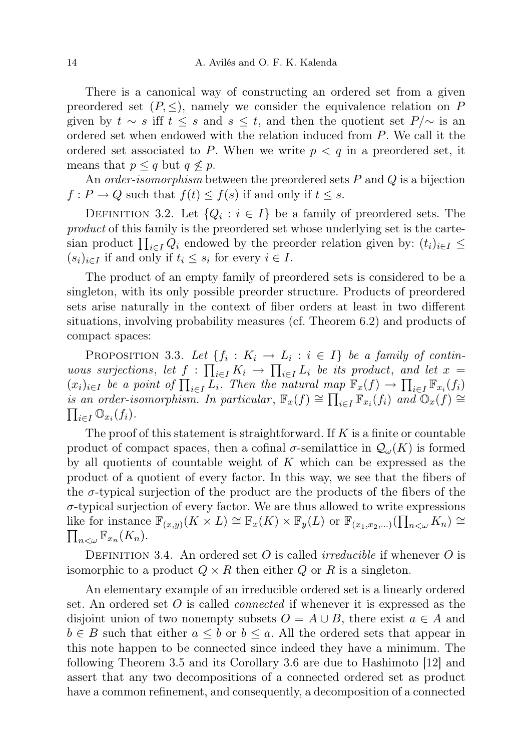There is a canonical way of constructing an ordered set from a given preordered set  $(P, \leq)$ , namely we consider the equivalence relation on P given by  $t \sim s$  iff  $t \leq s$  and  $s \leq t$ , and then the quotient set  $P/\sim$  is an ordered set when endowed with the relation induced from P. We call it the ordered set associated to P. When we write  $p < q$  in a preordered set, it means that  $p \leq q$  but  $q \nleq p$ .

An *order-isomorphism* between the preordered sets  $P$  and  $Q$  is a bijection  $f: P \to Q$  such that  $f(t) \leq f(s)$  if and only if  $t \leq s$ .

DEFINITION 3.2. Let  $\{Q_i : i \in I\}$  be a family of preordered sets. The product of this family is the preordered set whose underlying set is the cartesian product  $\prod_{i\in I} Q_i$  endowed by the preorder relation given by:  $(t_i)_{i\in I} \leq$  $(s_i)_{i\in I}$  if and only if  $t_i \leq s_i$  for every  $i \in I$ .

The product of an empty family of preordered sets is considered to be a singleton, with its only possible preorder structure. Products of preordered sets arise naturally in the context of fiber orders at least in two different situations, involving probability measures (cf. Theorem 6.2) and products of compact spaces:

PROPOSITION 3.3. Let  $\{f_i: K_i \to L_i : i \in I\}$  be a family of continuous surjections, let  $f : \prod_{i \in I} K_i \to \prod_{i \in I} L_i$  be its product, and let  $x =$  $(x_i)_{i\in I}$  be a point of  $\prod_{i\in I} L_i$ . Then the natural map  $\mathbb{F}_x(f) \to \prod_{i\in I} \mathbb{F}_{x_i}(f_i)$ is an order-isomorphism. In particular,  $\mathbb{F}_x(f) \cong \prod_{i \in I} \mathbb{F}_{x_i}(f_i)$  and  $\mathbb{O}_x(f) \cong \prod_{i \in I} \mathbb{O}_{x_i}(f_i)$ .  $_{i\in I}\mathbb{O}_{x_i}(f_i).$ 

The proof of this statement is straightforward. If  $K$  is a finite or countable product of compact spaces, then a cofinal  $\sigma$ -semilattice in  $\mathcal{Q}_{\omega}(K)$  is formed by all quotients of countable weight of  $K$  which can be expressed as the product of a quotient of every factor. In this way, we see that the fibers of the  $\sigma$ -typical surjection of the product are the products of the fibers of the  $\sigma$ -typical surjection of every factor. We are thus allowed to write expressions like for instance  $\mathbb{F}_{(x,y)}(K \times L) \cong \mathbb{F}_x(K) \times \mathbb{F}_y(L)$  or  $\mathbb{F}_{(x_1,x_2,...)}(\prod_{n<\omega}K_n) \cong$  $\prod_{n<\omega}\mathbb{F}_{x_n}(K_n).$ 

DEFINITION 3.4. An ordered set O is called *irreducible* if whenever O is isomorphic to a product  $Q \times R$  then either Q or R is a singleton.

An elementary example of an irreducible ordered set is a linearly ordered set. An ordered set  $O$  is called *connected* if whenever it is expressed as the disjoint union of two nonempty subsets  $O = A \cup B$ , there exist  $a \in A$  and  $b \in B$  such that either  $a \leq b$  or  $b \leq a$ . All the ordered sets that appear in this note happen to be connected since indeed they have a minimum. The following Theorem 3.5 and its Corollary 3.6 are due to Hashimoto [12] and assert that any two decompositions of a connected ordered set as product have a common refinement, and consequently, a decomposition of a connected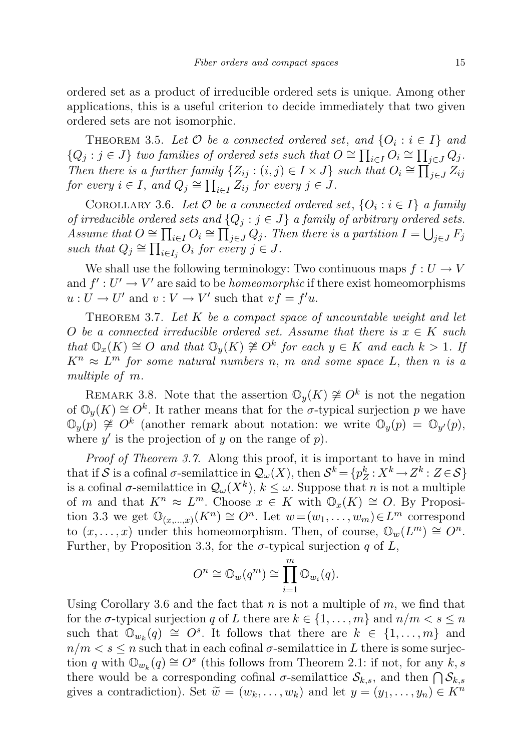ordered set as a product of irreducible ordered sets is unique. Among other applications, this is a useful criterion to decide immediately that two given ordered sets are not isomorphic.

THEOREM 3.5. Let  $\mathcal O$  be a connected ordered set, and  $\{O_i : i \in I\}$  and  ${Q_j : j \in J}$  two families of ordered sets such that  $O \cong \prod_{i \in I} O_i \cong \prod_{j \in J} Q_j$ . Then there is a further family  $\{Z_{ij} : (i,j) \in I \times J\}$  such that  $O_i \cong \prod_{j \in J}^{\infty} Z_{ij}$ for every  $i \in I$ , and  $Q_j \cong \prod_{i \in I} Z_{ij}$  for every  $j \in J$ .

COROLLARY 3.6. Let  $\mathcal O$  be a connected ordered set,  $\{O_i : i \in I\}$  a family of irreducible ordered sets and  $\{Q_i : j \in J\}$  a family of arbitrary ordered sets. Assume that  $O \cong \prod_{i \in I} O_i \cong \prod_{j \in J} Q_j$ . Then there is a partition  $I = \bigcup_{j \in J} F_j$ such that  $Q_j \cong \prod_{i \in I_j} Q_i$  for every  $j \in J$ .

We shall use the following terminology: Two continuous maps  $f: U \to V$ and  $f': U' \to V'$  are said to be *homeomorphic* if there exist homeomorphisms  $u: U \to U'$  and  $v: V \to V'$  such that  $vf = f'u$ .

THEOREM 3.7. Let  $K$  be a compact space of uncountable weight and let O be a connected irreducible ordered set. Assume that there is  $x \in K$  such that  $\mathbb{O}_x(K) \cong O$  and that  $\mathbb{O}_y(K) \not\cong O^k$  for each  $y \in K$  and each  $k > 1$ . If  $K^n \approx L^m$  for some natural numbers n, m and some space L, then n is a multiple of m.

REMARK 3.8. Note that the assertion  $\mathbb{O}_y(K) \not\cong O^k$  is not the negation of  $\mathbb{O}_y(K) \cong O^k$ . It rather means that for the  $\sigma$ -typical surjection p we have  $\mathbb{O}_y(p) \cong O^k$  (another remark about notation: we write  $\mathbb{O}_y(p) = \mathbb{O}_{y'}(p)$ , where  $y'$  is the projection of y on the range of  $p$ ).

Proof of Theorem 3.7. Along this proof, it is important to have in mind that if S is a cofinal  $\sigma$ -semilattice in  $\mathcal{Q}_{\omega}(X)$ , then  $\mathcal{S}^k = \{p_Z^k : X^k \to Z^k : Z \in \mathcal{S}\}\$ is a cofinal  $\sigma$ -semilattice in  $\mathcal{Q}_{\omega}(X^k), k \leq \omega$ . Suppose that n is not a multiple of m and that  $K^n \approx L^m$ . Choose  $x \in K$  with  $\mathbb{O}_x(K) \cong O$ . By Proposition 3.3 we get  $\mathbb{O}_{(x,...,x)}(K^n) \cong O^n$ . Let  $w=(w_1,...,w_m) \in L^m$  correspond to  $(x, \ldots, x)$  under this homeomorphism. Then, of course,  $\mathbb{O}_w(L^m) \cong O^n$ . Further, by Proposition 3.3, for the  $\sigma$ -typical surjection q of L,

$$
O^n \cong \mathbb{O}_w(q^m) \cong \prod_{i=1}^m \mathbb{O}_{w_i}(q).
$$

Using Corollary 3.6 and the fact that  $n$  is not a multiple of  $m$ , we find that for the  $\sigma$ -typical surjection q of L there are  $k \in \{1, \ldots, m\}$  and  $n/m < s \leq n$ such that  $\mathbb{O}_{w_k}(q) \cong O^s$ . It follows that there are  $k \in \{1, \ldots, m\}$  and  $n/m < s \leq n$  such that in each cofinal  $\sigma$ -semilattice in L there is some surjection q with  $\mathbb{O}_{w_k}(q) \cong O^s$  (this follows from Theorem 2.1: if not, for any  $k, s$ ) there would be a corresponding cofinal  $\sigma$ -semilattice  $\mathcal{S}_{k,s}$ , and then  $\bigcap \mathcal{S}_{k,s}$ gives a contradiction). Set  $\widetilde{w} = (w_k, \ldots, w_k)$  and let  $y = (y_1, \ldots, y_n) \in K^n$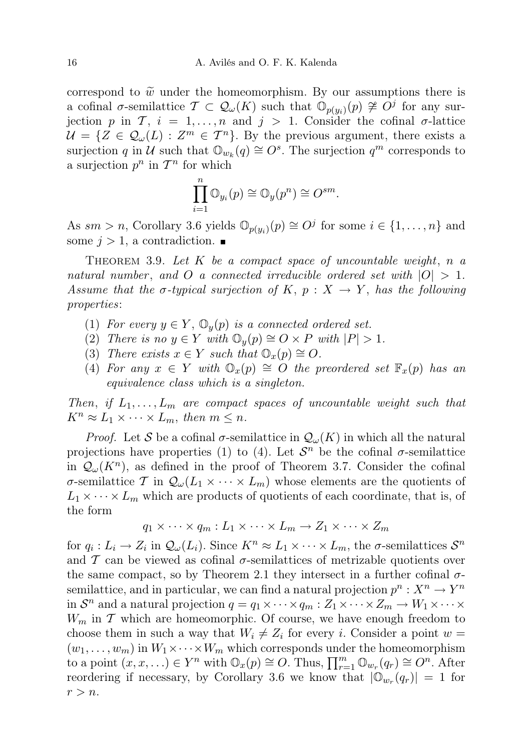correspond to  $\tilde{w}$  under the homeomorphism. By our assumptions there is a cofinal  $\sigma$ -semilattice  $\mathcal{T} \subset \mathcal{Q}_{\omega}(K)$  such that  $\mathcal{O}_{p(y_i)}(p) \ncong O^j$  for any surjection p in T,  $i = 1, ..., n$  and  $j > 1$ . Consider the cofinal  $\sigma$ -lattice  $\mathcal{U} = \{ Z \in \mathcal{Q}_{\omega}(L) : Z^m \in \mathcal{T}^n \}.$  By the previous argument, there exists a surjection q in  $\mathcal U$  such that  $\mathbb{O}_{w_k}(q) \cong O^s$ . The surjection  $q^m$  corresponds to a surjection  $p^n$  in  $\mathcal{T}^n$  for which

$$
\prod_{i=1}^n \mathbb{O}_{y_i}(p) \cong \mathbb{O}_y(p^n) \cong O^{sm}.
$$

As  $sm > n$ , Corollary 3.6 yields  $\mathbb{O}_{p(y_i)}(p) \cong O^j$  for some  $i \in \{1, ..., n\}$  and some  $j > 1$ , a contradiction.

THEOREM 3.9. Let K be a compact space of uncountable weight, n a natural number, and O a connected irreducible ordered set with  $|O| > 1$ . Assume that the  $\sigma$ -typical surjection of K,  $p : X \to Y$ , has the following properties:

- (1) For every  $y \in Y$ ,  $\mathbb{O}_y(p)$  is a connected ordered set.
- (2) There is no  $y \in Y$  with  $\mathbb{O}_y(p) \cong O \times P$  with  $|P| > 1$ .
- (3) There exists  $x \in Y$  such that  $\mathbb{O}_x(p) \cong O$ .
- (4) For any  $x \in Y$  with  $\mathbb{O}_x(p) \cong O$  the preordered set  $\mathbb{F}_x(p)$  has an equivalence class which is a singleton.

Then, if  $L_1, \ldots, L_m$  are compact spaces of uncountable weight such that  $K^n \approx L_1 \times \cdots \times L_m$ , then  $m \leq n$ .

*Proof.* Let S be a cofinal  $\sigma$ -semilattice in  $\mathcal{Q}_{\omega}(K)$  in which all the natural projections have properties (1) to (4). Let  $\mathcal{S}^n$  be the cofinal  $\sigma$ -semilattice in  $\mathcal{Q}_{\omega}(K^n)$ , as defined in the proof of Theorem 3.7. Consider the cofinal σ-semilattice T in  $\mathcal{Q}_{\omega}(L_1 \times \cdots \times L_m)$  whose elements are the quotients of  $L_1 \times \cdots \times L_m$  which are products of quotients of each coordinate, that is, of the form

$$
q_1 \times \cdots \times q_m : L_1 \times \cdots \times L_m \to Z_1 \times \cdots \times Z_m
$$

for  $q_i: L_i \to Z_i$  in  $\mathcal{Q}_{\omega}(L_i)$ . Since  $K^n \approx L_1 \times \cdots \times L_m$ , the  $\sigma$ -semilattices  $\mathcal{S}^n$ and  $\mathcal T$  can be viewed as cofinal  $\sigma$ -semilattices of metrizable quotients over the same compact, so by Theorem 2.1 they intersect in a further cofinal  $\sigma$ semilattice, and in particular, we can find a natural projection  $p^n : X^n \to Y^n$ in  $S^n$  and a natural projection  $q = q_1 \times \cdots \times q_m : Z_1 \times \cdots \times Z_m \to W_1 \times \cdots \times$  $W_m$  in  $\mathcal T$  which are homeomorphic. Of course, we have enough freedom to choose them in such a way that  $W_i \neq Z_i$  for every i. Consider a point  $w =$  $(w_1, \ldots, w_m)$  in  $W_1 \times \cdots \times W_m$  which corresponds under the homeomorphism to a point  $(x, x, ...) \in Y^n$  with  $\mathbb{O}_x(p) \cong O$ . Thus,  $\prod_{r=1}^m \mathbb{O}_{w_r}(q_r) \cong O^n$ . After reordering if necessary, by Corollary 3.6 we know that  $|\mathbb{O}_{w_r}(q_r)| = 1$  for  $r > n$ .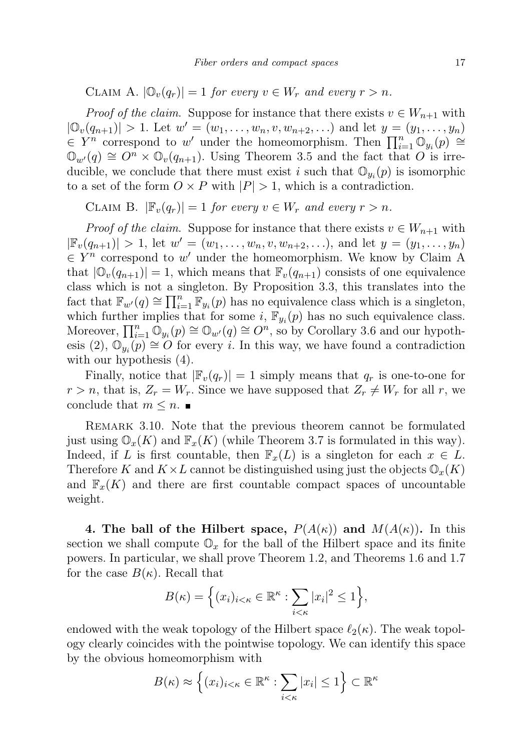CLAIM A.  $|\mathbb{O}_v(q_r)| = 1$  for every  $v \in W_r$  and every  $r > n$ .

*Proof of the claim.* Suppose for instance that there exists  $v \in W_{n+1}$  with  $|\mathbb{O}_{v}(q_{n+1})| > 1$ . Let  $w' = (w_1, \ldots, w_n, v, w_{n+2}, \ldots)$  and let  $y = (y_1, \ldots, y_n)$  $\in Y^n$  correspond to w' under the homeomorphism. Then  $\prod_{i=1}^n \mathbb{O}_{y_i}(p)$  ≅  $\mathbb{O}_{w'}(q) \cong O^n \times \mathbb{O}_v(q_{n+1})$ . Using Theorem 3.5 and the fact that O is irreducible, we conclude that there must exist i such that  $\mathbb{O}_{y_i}(p)$  is isomorphic to a set of the form  $O \times P$  with  $|P| > 1$ , which is a contradiction.

CLAIM B.  $|\mathbb{F}_{v}(q_r)| = 1$  for every  $v \in W_r$  and every  $r > n$ .

*Proof of the claim.* Suppose for instance that there exists  $v \in W_{n+1}$  with  $|\mathbb{F}_{v}(q_{n+1})| > 1$ , let  $w' = (w_1, \ldots, w_n, v, w_{n+2}, \ldots)$ , and let  $y = (y_1, \ldots, y_n)$  $\in Y^n$  correspond to w' under the homeomorphism. We know by Claim A that  $|\mathbb{O}_{v}(q_{n+1})| = 1$ , which means that  $\mathbb{F}_{v}(q_{n+1})$  consists of one equivalence class which is not a singleton. By Proposition 3.3, this translates into the fact that  $\mathbb{F}_{w'}(q) \cong \prod_{i=1}^n \mathbb{F}_{y_i}(p)$  has no equivalence class which is a singleton, which further implies that for some i,  $\mathbb{F}_{y_i}(p)$  has no such equivalence class. Moreover,  $\prod_{i=1}^n \mathbb{Q}_{y_i}(p) \cong \mathbb{Q}_{w'}(q) \cong O^n$ , so by Corollary 3.6 and our hypothesis (2),  $\mathbb{O}_{y_i}(p) \cong O$  for every i. In this way, we have found a contradiction with our hypothesis (4).

Finally, notice that  $|\mathbb{F}_v(q_r)| = 1$  simply means that  $q_r$  is one-to-one for  $r > n$ , that is,  $Z_r = W_r$ . Since we have supposed that  $Z_r \neq W_r$  for all r, we conclude that  $m \leq n$ .

REMARK 3.10. Note that the previous theorem cannot be formulated just using  $\mathbb{O}_x(K)$  and  $\mathbb{F}_x(K)$  (while Theorem 3.7 is formulated in this way). Indeed, if L is first countable, then  $\mathbb{F}_x(L)$  is a singleton for each  $x \in L$ . Therefore K and  $K \times L$  cannot be distinguished using just the objects  $\mathbb{O}_x(K)$ and  $\mathbb{F}_x(K)$  and there are first countable compact spaces of uncountable weight.

4. The ball of the Hilbert space,  $P(A(\kappa))$  and  $M(A(\kappa))$ . In this section we shall compute  $\mathbb{O}_x$  for the ball of the Hilbert space and its finite powers. In particular, we shall prove Theorem 1.2, and Theorems 1.6 and 1.7 for the case  $B(\kappa)$ . Recall that

$$
B(\kappa) = \Big\{ (x_i)_{i < \kappa} \in \mathbb{R}^{\kappa} : \sum_{i < \kappa} |x_i|^2 \le 1 \Big\},\
$$

endowed with the weak topology of the Hilbert space  $\ell_2(\kappa)$ . The weak topology clearly coincides with the pointwise topology. We can identify this space by the obvious homeomorphism with

$$
B(\kappa) \approx \left\{ (x_i)_{i < \kappa} \in \mathbb{R}^{\kappa} : \sum_{i < \kappa} |x_i| \le 1 \right\} \subset \mathbb{R}^{\kappa}
$$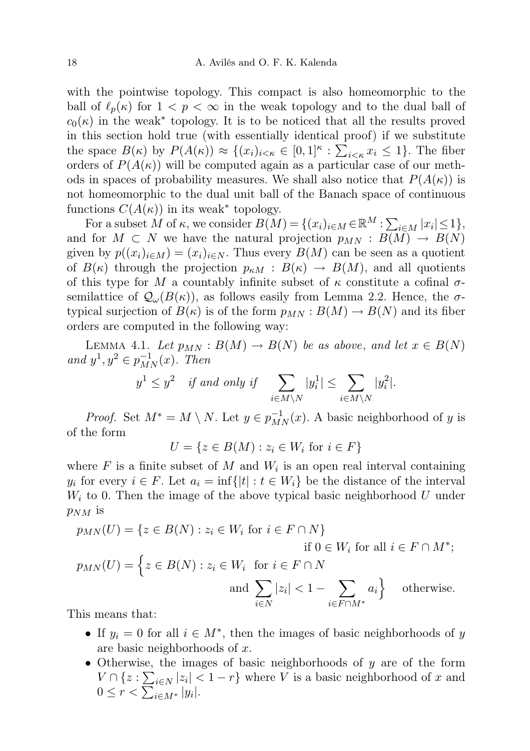with the pointwise topology. This compact is also homeomorphic to the ball of  $\ell_p(\kappa)$  for  $1 < p < \infty$  in the weak topology and to the dual ball of  $c_0(\kappa)$  in the weak<sup>\*</sup> topology. It is to be noticed that all the results proved in this section hold true (with essentially identical proof) if we substitute the space  $B(\kappa)$  by  $P(A(\kappa)) \approx \{(x_i)_{i \leq \kappa} \in [0,1]^{\kappa} : \sum_{i \leq \kappa} x_i \leq 1\}$ . The fiber orders of  $P(A(\kappa))$  will be computed again as a particular case of our methods in spaces of probability measures. We shall also notice that  $P(A(\kappa))$  is not homeomorphic to the dual unit ball of the Banach space of continuous functions  $C(A(\kappa))$  in its weak<sup>\*</sup> topology.

For a subset M of  $\kappa$ , we consider  $B(M) = \{(x_i)_{i \in M} \in \mathbb{R}^M : \sum_{i \in M} |x_i| \leq 1\},\$ and for  $M \subset N$  we have the natural projection  $p_{MN} : B(M) \to B(N)$ given by  $p((x_i)_{i\in M}) = (x_i)_{i\in N}$ . Thus every  $B(M)$  can be seen as a quotient of  $B(\kappa)$  through the projection  $p_{\kappa M} : B(\kappa) \to B(M)$ , and all quotients of this type for M a countably infinite subset of  $\kappa$  constitute a cofinal  $\sigma$ semilattice of  $\mathcal{Q}_{\omega}(B(\kappa))$ , as follows easily from Lemma 2.2. Hence, the  $\sigma$ typical surjection of  $B(\kappa)$  is of the form  $p_{MN}: B(M) \to B(N)$  and its fiber orders are computed in the following way:

LEMMA 4.1. Let  $p_{MN}: B(M) \to B(N)$  be as above, and let  $x \in B(N)$ and  $y^1, y^2 \in p_{MN}^{-1}(x)$ . Then

$$
y^1 \le y^2 \quad \text{if and only if} \quad \sum_{i \in M \backslash N} |y_i^1| \le \sum_{i \in M \backslash N} |y_i^2|.
$$

*Proof.* Set  $M^* = M \setminus N$ . Let  $y \in p_{MN}^{-1}(x)$ . A basic neighborhood of y is of the form

$$
U = \{ z \in B(M) : z_i \in W_i \text{ for } i \in F \}
$$

where  $F$  is a finite subset of  $M$  and  $W_i$  is an open real interval containing  $y_i$  for every  $i \in F$ . Let  $a_i = \inf\{|t| : t \in W_i\}$  be the distance of the interval  $W_i$  to 0. Then the image of the above typical basic neighborhood U under  $p_{NM}$  is

$$
p_{MN}(U) = \{ z \in B(N) : z_i \in W_i \text{ for } i \in F \cap N \}
$$
  
if  $0 \in W_i$  for all  $i \in F \cap M^*$ ;  

$$
p_{MN}(U) = \{ z \in B(N) : z_i \in W_i \text{ for } i \in F \cap N
$$
  
and 
$$
\sum_{i \in N} |z_i| < 1 - \sum_{i \in F \cap M^*} a_i \}
$$
 otherwise.

This means that:

- If  $y_i = 0$  for all  $i \in M^*$ , then the images of basic neighborhoods of y are basic neighborhoods of x.
- Otherwise, the images of basic neighborhoods of y are of the form  $V \cap \{z : \sum_{i \in N} |z_i| < 1 - r\}$  where V is a basic neighborhood of x and  $0 \leq r < \sum_{i \in M^*} |y_i|.$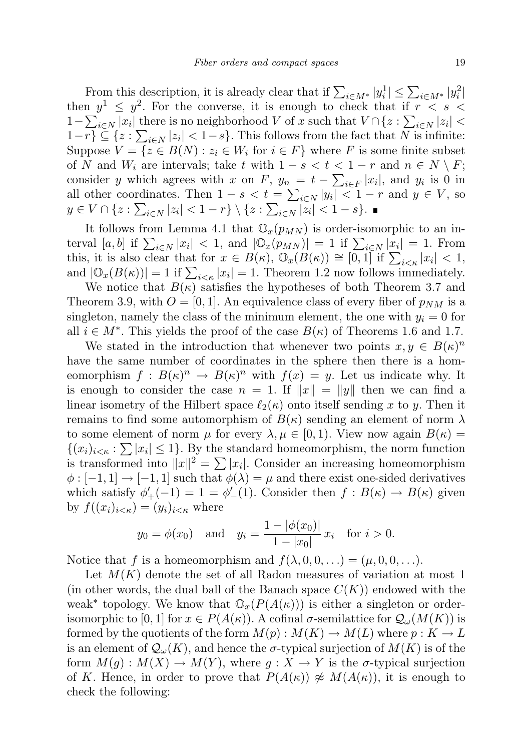From this description, it is already clear that if  $\sum_{i \in M^*} |y_i^1| \leq \sum_{i \in M^*} |y_i^2|$ then  $y^1 \leq y^2$ . For the converse, it is enough to check that if  $r \leq s \leq$ 1 –  $\sum_{i\in N} |x_i|$  there is no neighborhood V of x such that  $V \cap \{z : \sum_{i\in N} |z_i|$  $1-r$ }  $\subseteq$  { $z : \sum_{i \in N} |z_i| < 1-s$ }. This follows from the fact that N is infinite: Suppose  $V = \{z \in B(N) : z_i \in W_i \text{ for } i \in F\}$  where F is some finite subset of N and  $W_i$  are intervals; take t with  $1-s < t < 1-r$  and  $n \in N \setminus F$ ; consider y which agrees with x on F,  $y_n = t - \sum_{i \in F} |x_i|$ , and  $y_i$  is 0 in all other coordinates. Then  $1 - s < t = \sum_{i \in N} |y_i| < 1 - r$  and  $y \in V$ , so  $y \in V \cap \{z : \sum_{i \in N} |z_i| < 1 - r\} \setminus \{z : \sum_{i \in N} |z_i| < 1 - s\}.$ 

It follows from Lemma 4.1 that  $\mathbb{O}_x(p_{MN})$  is order-isomorphic to an interval [a, b] if  $\sum_{i\in N} |x_i| < 1$ , and  $|\mathbb{O}_x(p_{MN})| = 1$  if  $\sum_{i\in N} |x_i| = 1$ . From this, it is also clear that for  $x \in B(\kappa)$ ,  $\mathbb{O}_x(B(\kappa)) \cong [0,1]$  if  $\sum_{i<\kappa} |x_i| < 1$ , and  $|\mathbb{O}_x(B(\kappa))|=1$  if  $\sum_{i<\kappa}|x_i|=1$ . Theorem 1.2 now follows immediately.

We notice that  $B(\kappa)$  satisfies the hypotheses of both Theorem 3.7 and Theorem 3.9, with  $O = [0, 1]$ . An equivalence class of every fiber of  $p_{NM}$  is a singleton, namely the class of the minimum element, the one with  $y_i = 0$  for all  $i \in M^*$ . This yields the proof of the case  $B(\kappa)$  of Theorems 1.6 and 1.7.

We stated in the introduction that whenever two points  $x, y \in B(\kappa)^n$ have the same number of coordinates in the sphere then there is a homeomorphism  $f: B(\kappa)^n \to B(\kappa)^n$  with  $f(x) = y$ . Let us indicate why. It is enough to consider the case  $n = 1$ . If  $||x|| = ||y||$  then we can find a linear isometry of the Hilbert space  $\ell_2(\kappa)$  onto itself sending x to y. Then it remains to find some automorphism of  $B(\kappa)$  sending an element of norm  $\lambda$ to some element of norm  $\mu$  for every  $\lambda, \mu \in [0,1)$ . View now again  $B(\kappa) =$  $\{(x_i)_{i \leq \kappa}: \sum |x_i| \leq 1\}$ . By the standard homeomorphism, the norm function is transformed into  $||x||^2 = \sum |x_i|$ . Consider an increasing homeomorphism  $\phi : [-1, 1] \rightarrow [-1, 1]$  such that  $\phi(\lambda) = \mu$  and there exist one-sided derivatives which satisfy  $\phi'_{+}(-1) = 1 = \phi'_{-}(1)$ . Consider then  $f : B(\kappa) \to B(\kappa)$  given by  $f((x_i)_{i\leq \kappa})=(y_i)_{i\leq \kappa}$  where

$$
y_0 = \phi(x_0)
$$
 and  $y_i = \frac{1 - |\phi(x_0)|}{1 - |x_0|} x_i$  for  $i > 0$ .

Notice that f is a homeomorphism and  $f(\lambda, 0, 0, ...) = (\mu, 0, 0, ...)$ .

Let  $M(K)$  denote the set of all Radon measures of variation at most 1 (in other words, the dual ball of the Banach space  $C(K)$ ) endowed with the weak<sup>\*</sup> topology. We know that  $\mathbb{O}_x(P(A(\kappa)))$  is either a singleton or orderisomorphic to [0, 1] for  $x \in P(A(\kappa))$ . A cofinal  $\sigma$ -semilattice for  $\mathcal{Q}_{\omega}(M(K))$  is formed by the quotients of the form  $M(p): M(K) \to M(L)$  where  $p: K \to L$ is an element of  $\mathcal{Q}_{\omega}(K)$ , and hence the  $\sigma$ -typical surjection of  $M(K)$  is of the form  $M(g): M(X) \to M(Y)$ , where  $g: X \to Y$  is the  $\sigma$ -typical surjection of K. Hence, in order to prove that  $P(A(\kappa)) \not\approx M(A(\kappa))$ , it is enough to check the following: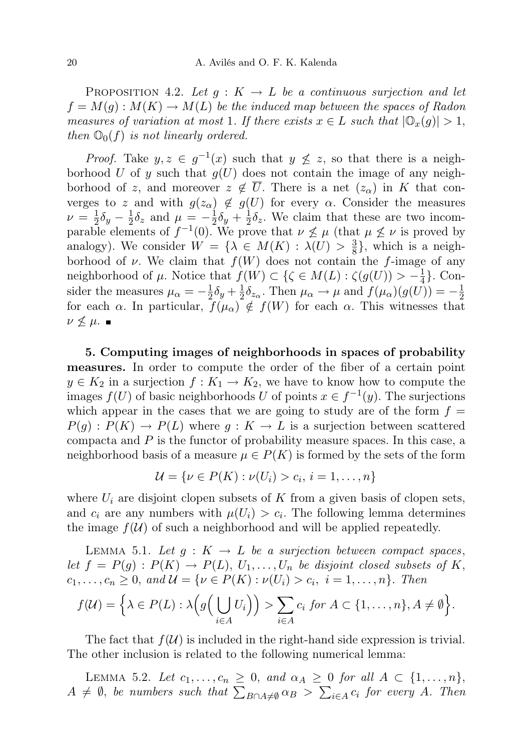PROPOSITION 4.2. Let  $g: K \to L$  be a continuous surjection and let  $f = M(g) : M(K) \to M(L)$  be the induced map between the spaces of Radon measures of variation at most 1. If there exists  $x \in L$  such that  $|\mathbb{O}_x(g)| > 1$ , then  $\mathbb{O}_0(f)$  is not linearly ordered.

*Proof.* Take  $y, z \in g^{-1}(x)$  such that  $y \nleq z$ , so that there is a neighborhood U of y such that  $g(U)$  does not contain the image of any neighborhood of z, and moreover  $z \notin \overline{U}$ . There is a net  $(z_{\alpha})$  in K that converges to z and with  $g(z_{\alpha}) \notin g(U)$  for every  $\alpha$ . Consider the measures  $\nu = \frac{1}{2}$  $\frac{1}{2}\delta_{y} - \frac{1}{2}$  $\frac{1}{2}\delta_z$  and  $\mu = -\frac{1}{2}$  $rac{1}{2}\delta_{y} + \frac{1}{2}$  $\frac{1}{2}\delta_z$ . We claim that these are two incomparable elements of  $f^{-1}(0)$ . We prove that  $\nu \nleq \mu$  (that  $\mu \nleq \nu$  is proved by analogy). We consider  $W = \{\lambda \in M(K) : \lambda(U) > \frac{3}{8}\}\$  $\frac{3}{8}$ , which is a neighborhood of  $\nu$ . We claim that  $f(W)$  does not contain the f-image of any neighborhood of  $\mu$ . Notice that  $f(W) \subset {\mathcal{S} \in M(L) : \zeta(g(U)) > -\frac{1}{4}}$  $\frac{1}{4}$ . Consider the measures  $\mu_{\alpha} = -\frac{1}{2}$  $\frac{1}{2}\delta_{y} + \frac{1}{2}$  $\frac{1}{2}\delta_{z_\alpha}$ . Then  $\mu_\alpha \to \mu$  and  $f(\mu_\alpha)(g(U)) = -\frac{1}{2}$ 2 for each  $\alpha$ . In particular,  $f(\mu_{\alpha}) \notin f(W)$  for each  $\alpha$ . This witnesses that  $\nu \not\leq \mu$ .

5. Computing images of neighborhoods in spaces of probability measures. In order to compute the order of the fiber of a certain point  $y \in K_2$  in a surjection  $f: K_1 \to K_2$ , we have to know how to compute the images  $f(U)$  of basic neighborhoods U of points  $x \in f^{-1}(y)$ . The surjections which appear in the cases that we are going to study are of the form  $f =$  $P(g): P(K) \to P(L)$  where  $g: K \to L$  is a surjection between scattered compacta and P is the functor of probability measure spaces. In this case, a neighborhood basis of a measure  $\mu \in P(K)$  is formed by the sets of the form

$$
\mathcal{U} = \{ \nu \in P(K) : \nu(U_i) > c_i, \, i = 1, \dots, n \}
$$

where  $U_i$  are disjoint clopen subsets of K from a given basis of clopen sets, and  $c_i$  are any numbers with  $\mu(U_i) > c_i$ . The following lemma determines the image  $f(U)$  of such a neighborhood and will be applied repeatedly.

LEMMA 5.1. Let  $g: K \to L$  be a surjection between compact spaces, let  $f = P(g) : P(K) \to P(L), U_1, \ldots, U_n$  be disjoint closed subsets of K,  $c_1, ..., c_n \ge 0$ , and  $\mathcal{U} = \{ \nu \in P(K) : \nu(U_i) > c_i, i = 1, ..., n \}.$  Then

$$
f(\mathcal{U}) = \Big\{\lambda \in P(L) : \lambda\Big(g\Big(\bigcup_{i \in A} U_i\Big)\Big) > \sum_{i \in A} c_i \text{ for } A \subset \{1, \ldots, n\}, A \neq \emptyset\Big\}.
$$

The fact that  $f(\mathcal{U})$  is included in the right-hand side expression is trivial. The other inclusion is related to the following numerical lemma:

LEMMA 5.2. Let  $c_1, \ldots, c_n \geq 0$ , and  $\alpha_A \geq 0$  for all  $A \subset \{1, \ldots, n\}$ ,  $A \neq \emptyset$ , be numbers such that  $\sum_{B \cap A \neq \emptyset} \alpha_B > \sum_{i \in A} c_i$  for every A. Then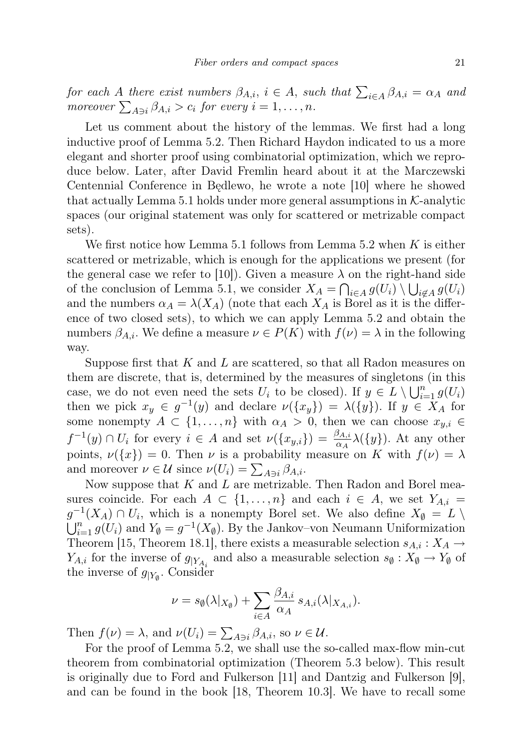for each A there exist numbers  $\beta_{A,i}$ ,  $i \in A$ , such that  $\sum_{i \in A} \beta_{A,i} = \alpha_A$  and moreover  $\sum_{A \ni i} \beta_{A,i} > c_i$  for every  $i = 1, \ldots, n$ .

Let us comment about the history of the lemmas. We first had a long inductive proof of Lemma 5.2. Then Richard Haydon indicated to us a more elegant and shorter proof using combinatorial optimization, which we reproduce below. Later, after David Fremlin heard about it at the Marczewski Centennial Conference in Będlewo, he wrote a note [10] where he showed that actually Lemma 5.1 holds under more general assumptions in  $K$ -analytic spaces (our original statement was only for scattered or metrizable compact sets).

We first notice how Lemma 5.1 follows from Lemma 5.2 when  $K$  is either scattered or metrizable, which is enough for the applications we present (for the general case we refer to [10]). Given a measure  $\lambda$  on the right-hand side of the conclusion of Lemma 5.1, we consider  $X_A = \bigcap_{i \in A} g(U_i) \setminus \bigcup_{i \notin A} g(U_i)$ and the numbers  $\alpha_A = \lambda(X_A)$  (note that each  $X_A$  is Borel as it is the difference of two closed sets), to which we can apply Lemma 5.2 and obtain the numbers  $\beta_{A,i}$ . We define a measure  $\nu \in P(K)$  with  $f(\nu) = \lambda$  in the following way.

Suppose first that  $K$  and  $L$  are scattered, so that all Radon measures on them are discrete, that is, determined by the measures of singletons (in this case, we do not even need the sets  $U_i$  to be closed). If  $y \in L \setminus \bigcup_{i=1}^n g(U_i)$ then we pick  $x_y \in g^{-1}(y)$  and declare  $\nu(\lbrace x_y \rbrace) = \lambda(\lbrace y \rbrace)$ . If  $y \in X_A$  for some nonempty  $A \subset \{1, \ldots, n\}$  with  $\alpha_A > 0$ , then we can choose  $x_{y,i} \in$  $f^{-1}(y) \cap U_i$  for every  $i \in A$  and set  $\nu(\lbrace x_{y,i} \rbrace) = \frac{\beta_{A,i}}{\alpha_A} \lambda(\lbrace y \rbrace)$ . At any other points,  $\nu({x}) = 0$ . Then  $\nu$  is a probability measure on K with  $f(\nu) = \lambda$ and moreover  $\nu \in \mathcal{U}$  since  $\nu(U_i) = \sum_{A \ni i} \beta_{A,i}$ .

Now suppose that  $K$  and  $L$  are metrizable. Then Radon and Borel measures coincide. For each  $A \subset \{1, \ldots, n\}$  and each  $i \in A$ , we set  $Y_{A,i} =$  $g^{-1}(X_A) \cap U_i$ , which is a nonempty Borel set. We also define  $X_{\emptyset} = L \setminus$  $\bigcup_{i=1}^{n} g(U_i)$  and  $Y_{\emptyset} = g^{-1}(X_{\emptyset})$ . By the Jankov-von Neumann Uniformization Theorem [15, Theorem 18.1], there exists a measurable selection  $s_{A,i}: X_A \to Y_A$  $Y_{A,i}$  for the inverse of  $g_{|Y_{A_i}}$  and also a measurable selection  $s_{\emptyset}: X_{\emptyset} \to Y_{\emptyset}$  of the inverse of  $g_{|Y_{\emptyset}}$ . Consider

$$
\nu = s_{\emptyset}(\lambda|_{X_{\emptyset}}) + \sum_{i \in A} \frac{\beta_{A,i}}{\alpha_A} s_{A,i}(\lambda|_{X_{A,i}}).
$$

Then  $f(\nu) = \lambda$ , and  $\nu(U_i) = \sum_{A \ni i} \beta_{A,i}$ , so  $\nu \in \mathcal{U}$ .

For the proof of Lemma 5.2, we shall use the so-called max-flow min-cut theorem from combinatorial optimization (Theorem 5.3 below). This result is originally due to Ford and Fulkerson [11] and Dantzig and Fulkerson [9], and can be found in the book [18, Theorem 10.3]. We have to recall some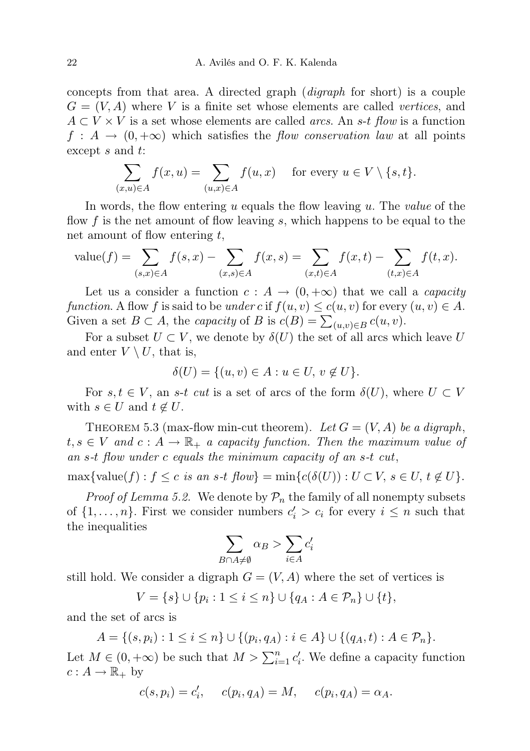concepts from that area. A directed graph (digraph for short) is a couple  $G = (V, A)$  where V is a finite set whose elements are called vertices, and  $A \subset V \times V$  is a set whose elements are called *arcs*. An s-t flow is a function  $f : A \to (0, +\infty)$  which satisfies the *flow conservation law* at all points except s and t:

$$
\sum_{(x,u)\in A} f(x,u) = \sum_{(u,x)\in A} f(u,x) \quad \text{ for every } u \in V \setminus \{s,t\}.
$$

In words, the flow entering u equals the flow leaving u. The value of the flow f is the net amount of flow leaving s, which happens to be equal to the net amount of flow entering  $t$ ,

value(f) = 
$$
\sum_{(s,x)\in A} f(s,x) - \sum_{(x,s)\in A} f(x,s) = \sum_{(x,t)\in A} f(x,t) - \sum_{(t,x)\in A} f(t,x).
$$

Let us a consider a function  $c : A \to (0, +\infty)$  that we call a *capacity* function. A flow f is said to be under c if  $f(u, v) \le c(u, v)$  for every  $(u, v) \in A$ . Given a set  $B \subset A$ , the *capacity* of B is  $c(B) = \sum_{(u,v)\in B} c(u,v)$ .

For a subset  $U \subset V$ , we denote by  $\delta(U)$  the set of all arcs which leave U and enter  $V \setminus U$ , that is,

$$
\delta(U) = \{(u, v) \in A : u \in U, v \notin U\}.
$$

For  $s, t \in V$ , an s-t cut is a set of arcs of the form  $\delta(U)$ , where  $U \subset V$ with  $s \in U$  and  $t \notin U$ .

THEOREM 5.3 (max-flow min-cut theorem). Let  $G = (V, A)$  be a digraph,  $t, s \in V$  and  $c: A \to \mathbb{R}_+$  a capacity function. Then the maximum value of an s-t flow under c equals the minimum capacity of an s-t cut,

 $\max{\text{value}(f): f \leq c \text{ is an } s\text{-}t \text{ flow}} = \min{\text{c}(\delta(U)) : U \subset V, s \in U, t \notin U}.$ 

*Proof of Lemma 5.2.* We denote by  $\mathcal{P}_n$  the family of all nonempty subsets of  $\{1, \ldots, n\}$ . First we consider numbers  $c_i' > c_i$  for every  $i \leq n$  such that the inequalities

$$
\sum_{B \cap A \neq \emptyset} \alpha_B > \sum_{i \in A} c'_i
$$

still hold. We consider a digraph  $G = (V, A)$  where the set of vertices is

$$
V = \{s\} \cup \{p_i : 1 \le i \le n\} \cup \{q_A : A \in \mathcal{P}_n\} \cup \{t\},\
$$

and the set of arcs is

 $A = \{(s, p_i) : 1 \leq i \leq n\} \cup \{(p_i, q_A) : i \in A\} \cup \{(q_A, t) : A \in \mathcal{P}_n\}.$ 

Let  $M \in (0, +\infty)$  be such that  $M > \sum_{i=1}^{n} c'_i$ . We define a capacity function  $c: A \to \mathbb{R}_+$  by

$$
c(s, p_i) = c'_i, \quad c(p_i, q_A) = M, \quad c(p_i, q_A) = \alpha_A.
$$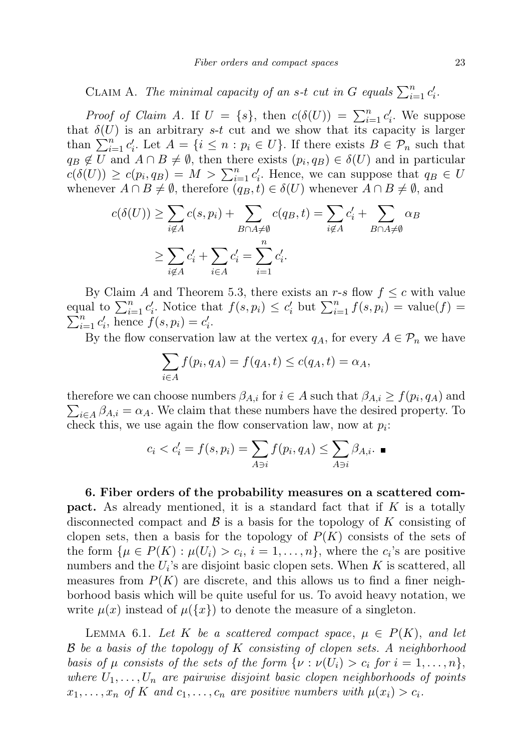CLAIM A. The minimal capacity of an s-t cut in G equals  $\sum_{i=1}^{n} c'_i$ .

*Proof of Claim A.* If  $U = \{s\}$ , then  $c(\delta(U)) = \sum_{i=1}^{n} c'_i$ . We suppose that  $\delta(U)$  is an arbitrary s-t cut and we show that its capacity is larger than  $\sum_{i=1}^{n} c'_i$ . Let  $A = \{i \leq n : p_i \in U\}$ . If there exists  $B \in \mathcal{P}_n$  such that  $q_B \notin U$  and  $A \cap B \neq \emptyset$ , then there exists  $(p_i, q_B) \in \delta(U)$  and in particular  $c(\delta(U)) \geq c(p_i, q_B) = M > \sum_{i=1}^n c'_i$ . Hence, we can suppose that  $q_B \in U$ whenever  $A \cap B \neq \emptyset$ , therefore  $(q_B, t) \in \delta(U)$  whenever  $A \cap B \neq \emptyset$ , and

$$
c(\delta(U)) \ge \sum_{i \notin A} c(s, p_i) + \sum_{B \cap A \ne \emptyset} c(q_B, t) = \sum_{i \notin A} c'_i + \sum_{B \cap A \ne \emptyset} \alpha_B
$$
  

$$
\ge \sum_{i \notin A} c'_i + \sum_{i \in A} c'_i = \sum_{i=1}^n c'_i.
$$

By Claim A and Theorem 5.3, there exists an r-s flow  $f \leq c$  with value equal to  $\sum_{i=1}^n c'_i$ . Notice that  $f(s, p_i) \leq c'_i$  but  $\sum_{i=1}^n f(s, p_i) = \text{value}(f)$  $\sum_{i=1}^{n} c'_{i}$ , hence  $f(s, p_{i}) = c'_{i}$ .

By the flow conservation law at the vertex  $q_A$ , for every  $A \in \mathcal{P}_n$  we have

$$
\sum_{i \in A} f(p_i, q_A) = f(q_A, t) \le c(q_A, t) = \alpha_A,
$$

therefore we can choose numbers  $\beta_{A,i}$  for  $i \in A$  such that  $\beta_{A,i} \ge f(p_i, q_A)$  and  $\sum_{i\in A}\beta_{A,i} = \alpha_A$ . We claim that these numbers have the desired property. To check this, we use again the flow conservation law, now at  $p_i$ :

$$
c_i < c'_i = f(s, p_i) = \sum_{A \ni i} f(p_i, q_A) \le \sum_{A \ni i} \beta_{A, i}.
$$

6. Fiber orders of the probability measures on a scattered com**pact.** As already mentioned, it is a standard fact that if  $K$  is a totally disconnected compact and  $\beta$  is a basis for the topology of K consisting of clopen sets, then a basis for the topology of  $P(K)$  consists of the sets of the form  $\{\mu \in P(K) : \mu(U_i) > c_i, i = 1, \ldots, n\}$ , where the  $c_i$ 's are positive numbers and the  $U_i$ 's are disjoint basic clopen sets. When K is scattered, all measures from  $P(K)$  are discrete, and this allows us to find a finer neighborhood basis which will be quite useful for us. To avoid heavy notation, we write  $\mu(x)$  instead of  $\mu({x})$  to denote the measure of a singleton.

LEMMA 6.1. Let K be a scattered compact space,  $\mu \in P(K)$ , and let B be a basis of the topology of K consisting of clopen sets. A neighborhood basis of  $\mu$  consists of the sets of the form  $\{\nu : \nu(U_i) > c_i \text{ for } i = 1, \ldots, n\},\$ where  $U_1, \ldots, U_n$  are pairwise disjoint basic clopen neighborhoods of points  $x_1, \ldots, x_n$  of K and  $c_1, \ldots, c_n$  are positive numbers with  $\mu(x_i) > c_i$ .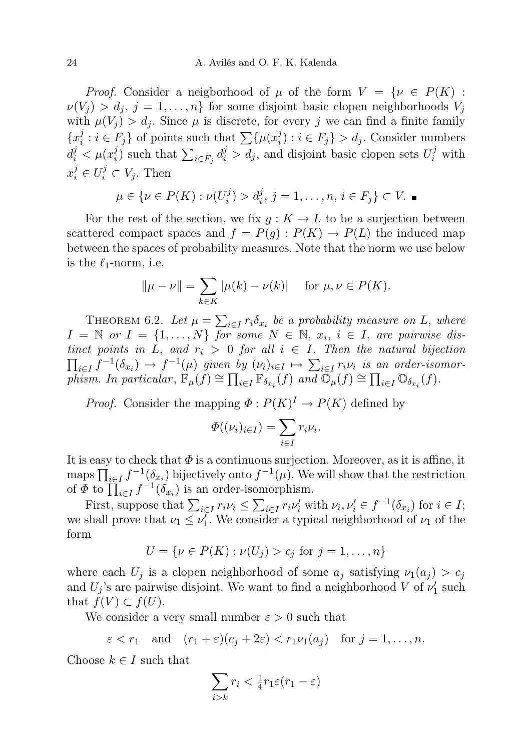*Proof.* Consider a neigborhood of  $\mu$  of the form  $V = \{ \nu \in P(K) :$  $\nu(V_i) > d_i, j = 1, \ldots, n$  for some disjoint basic clopen neighborhoods  $V_i$ with  $\mu(V_i) > d_i$ . Since  $\mu$  is discrete, for every j we can find a finite family  ${x_i^j}$  $i : i \in F_j$  of points such that  $\sum \{\mu(x_i^j)$  $i_j$  :  $i \in F_j$  >  $d_j$ . Consider numbers  $d_i^j < \mu(x_i^j)$  $j_i$ ) such that  $\sum_{i \in F_j} d_i^j > d_j$ , and disjoint basic clopen sets  $U_i^j$  with  $x_i^j \in U_i^j \subset V_j$ . Then

$$
\mu \in \{ \nu \in P(K) : \nu(U_i^j) > d_i^j, j = 1, ..., n, i \in F_j \} \subset V.
$$

For the rest of the section, we fix  $g: K \to L$  to be a surjection between scattered compact spaces and  $f = P(g) : P(K) \to P(L)$  the induced map between the spaces of probability measures. Note that the norm we use below is the  $\ell_1$ -norm, i.e.

$$
||\mu - \nu|| = \sum_{k \in K} |\mu(k) - \nu(k)|
$$
 for  $\mu, \nu \in P(K)$ .

THEOREM 6.2. Let  $\mu = \sum_{i \in I} r_i \delta_{x_i}$  be a probability measure on L, where  $I = \mathbb{N}$  or  $I = \{1, ..., N\}$  for some  $N \in \mathbb{N}$ ,  $x_i, i \in I$ , are pairwise distinct points in L, and  $r_i > 0$  for all  $i \in I$ . Then the natural bijection  $\prod_{i\in I} f^{-1}(\delta_{x_i}) \to f^{-1}(\mu)$  given by  $(\nu_i)_{i\in I} \mapsto \sum_{i\in I} r_i \nu_i$  is an order-isomorphism. In particular,  $\mathbb{F}_{\mu}(f) \cong \prod_{i\in I} \mathbb{F}_{\delta_{x_i}}(f)$  and  $\mathbb{O}_{\mu}(f) \cong \prod_{i\in I} \mathbb{O}_{\delta_{x_i}}(f)$ .

*Proof.* Consider the mapping  $\Phi: P(K)^{I} \to P(K)$  defined by

$$
\Phi((\nu_i)_{i\in I})=\sum_{i\in I}r_i\nu_i.
$$

It is easy to check that  $\Phi$  is a continuous surjection. Moreover, as it is affine, it maps  $\prod_{i\in I} f^{-1}(\delta_{x_i})$  bijectively onto  $f^{-1}(\mu)$ . We will show that the restriction of  $\Phi$  to  $\prod_{i\in I} f^{-1}(\delta_{x_i})$  is an order-isomorphism.

First, suppose that  $\sum_{i \in I} r_i \nu_i \leq \sum_{i \in I} r_i \nu_i'$  with  $\nu_i, \nu_i' \in f^{-1}(\delta_{x_i})$  for  $i \in I$ ; we shall prove that  $\nu_1 \leq \nu_1'$ . We consider a typical neighborhood of  $\nu_1$  of the form

$$
U = \{ \nu \in P(K) : \nu(U_j) > c_j \text{ for } j = 1, ..., n \}
$$

where each  $U_j$  is a clopen neighborhood of some  $a_j$  satisfying  $\nu_1(a_j) > c_j$ and  $U_j$ 's are pairwise disjoint. We want to find a neighborhood V of  $\nu'_1$  such that  $f(V) \subset f(U)$ .

We consider a very small number  $\varepsilon > 0$  such that

$$
\varepsilon < r_1
$$
 and  $(r_1 + \varepsilon)(c_j + 2\varepsilon) < r_1 \nu_1(a_j)$  for  $j = 1, ..., n$ .

Choose  $k \in I$  such that

$$
\sum_{i>k}r_i < \frac{1}{4}r_1\varepsilon(r_1-\varepsilon)
$$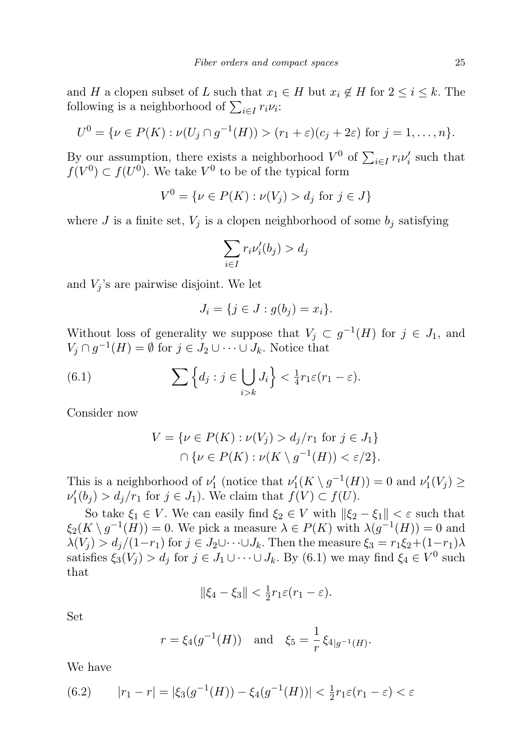and H a clopen subset of L such that  $x_1 \in H$  but  $x_i \notin H$  for  $2 \leq i \leq k$ . The following is a neighborhood of  $\sum_{i \in I} r_i \nu_i$ :

$$
U^{0} = \{ \nu \in P(K) : \nu(U_j \cap g^{-1}(H)) > (r_1 + \varepsilon)(c_j + 2\varepsilon) \text{ for } j = 1, ..., n \}.
$$

By our assumption, there exists a neighborhood  $V^0$  of  $\sum_{i\in I} r_i \nu'_i$  such that  $f(V^0) \subset f(U^0)$ . We take  $V^0$  to be of the typical form

$$
V^{0} = \{ \nu \in P(K) : \nu(V_j) > d_j \text{ for } j \in J \}
$$

where J is a finite set,  $V_i$  is a clopen neighborhood of some  $b_i$  satisfying

$$
\sum_{i \in I} r_i \nu'_i(b_j) > d_j
$$

and  $V_i$ 's are pairwise disjoint. We let

$$
J_i = \{ j \in J : g(b_j) = x_i \}.
$$

Without loss of generality we suppose that  $V_j \subset g^{-1}(H)$  for  $j \in J_1$ , and  $V_j \cap g^{-1}(H) = \emptyset$  for  $j \in J_2 \cup \cdots \cup J_k$ . Notice that

(6.1) 
$$
\sum \left\{ d_j : j \in \bigcup_{i>k} J_i \right\} < \frac{1}{4} r_1 \varepsilon (r_1 - \varepsilon).
$$

Consider now

$$
V = \{ \nu \in P(K) : \nu(V_j) > d_j/r_1 \text{ for } j \in J_1 \}
$$
  

$$
\cap \{ \nu \in P(K) : \nu(K \setminus g^{-1}(H)) < \varepsilon/2 \}.
$$

This is a neighborhood of  $\nu'_{1}$  (notice that  $\nu'_{1}(K \setminus g^{-1}(H)) = 0$  and  $\nu'_{1}(V_{j}) \ge$  $\nu'_1(b_j) > d_j/r_1$  for  $j \in J_1$ ). We claim that  $f(V) \subset f(U)$ .

So take  $\xi_1 \in V$ . We can easily find  $\xi_2 \in V$  with  $\|\xi_2 - \xi_1\| < \varepsilon$  such that  $\xi_2(K \setminus g^{-1}(H)) = 0$ . We pick a measure  $\lambda \in P(K)$  with  $\lambda(g^{-1}(H)) = 0$  and  $\lambda(V_j) > d_j/(1-r_1)$  for  $j \in J_2 \cup \cdots \cup J_k$ . Then the measure  $\xi_3 = r_1 \xi_2 + (1-r_1)\lambda$ satisfies  $\xi_3(V_j) > d_j$  for  $j \in J_1 \cup \cdots \cup J_k$ . By (6.1) we may find  $\xi_4 \in V^0$  such that

$$
\|\xi_4-\xi_3\|<\tfrac{1}{2}r_1\varepsilon(r_1-\varepsilon).
$$

Set

$$
r = \xi_4(g^{-1}(H))
$$
 and  $\xi_5 = \frac{1}{r} \xi_{4|g^{-1}(H)}$ .

We have

(6.2) 
$$
|r_1 - r| = |\xi_3(g^{-1}(H)) - \xi_4(g^{-1}(H))| < \frac{1}{2}r_1\varepsilon(r_1 - \varepsilon) < \varepsilon
$$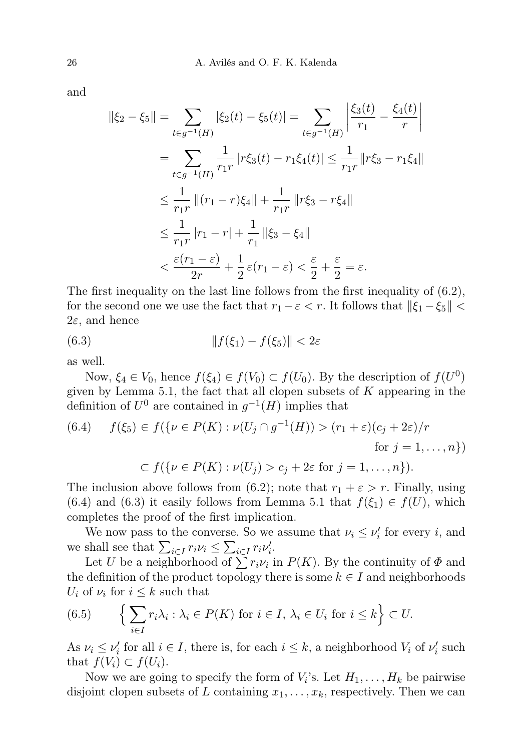and

$$
\|\xi_2 - \xi_5\| = \sum_{t \in g^{-1}(H)} |\xi_2(t) - \xi_5(t)| = \sum_{t \in g^{-1}(H)} \left| \frac{\xi_3(t)}{r_1} - \frac{\xi_4(t)}{r} \right|
$$
  
\n
$$
= \sum_{t \in g^{-1}(H)} \frac{1}{r_1 r} |r \xi_3(t) - r_1 \xi_4(t)| \le \frac{1}{r_1 r} \|r \xi_3 - r_1 \xi_4\|
$$
  
\n
$$
\le \frac{1}{r_1 r} \|r_1 - r_1 \xi_4\| + \frac{1}{r_1 r} \|r \xi_3 - r \xi_4\|
$$
  
\n
$$
\le \frac{1}{r_1 r} |r_1 - r_1| + \frac{1}{r_1} \| \xi_3 - \xi_4\|
$$
  
\n
$$
< \frac{\varepsilon(r_1 - \varepsilon)}{2r} + \frac{1}{2} \varepsilon(r_1 - \varepsilon) < \frac{\varepsilon}{2} + \frac{\varepsilon}{2} = \varepsilon.
$$

The first inequality on the last line follows from the first inequality of (6.2), for the second one we use the fact that  $r_1 - \varepsilon < r$ . It follows that  $\|\xi_1 - \xi_5\| <$  $2\varepsilon$ , and hence

$$
(6.3) \t\t\t\t||f(\xi_1) - f(\xi_5)|| < 2\varepsilon
$$

as well.

Now,  $\xi_4 \in V_0$ , hence  $f(\xi_4) \in f(V_0) \subset f(U_0)$ . By the description of  $f(U^0)$ given by Lemma 5.1, the fact that all clopen subsets of  $K$  appearing in the definition of  $U^0$  are contained in  $g^{-1}(H)$  implies that

(6.4) 
$$
f(\xi_5) \in f(\lbrace \nu \in P(K) : \nu(U_j \cap g^{-1}(H)) > (r_1 + \varepsilon)(c_j + 2\varepsilon)/r
$$
  
for  $j = 1, ..., n \rbrace$ )

$$
\subset f(\{\nu \in P(K) : \nu(U_j) > c_j + 2\varepsilon \text{ for } j = 1, \dots, n\}).
$$

The inclusion above follows from (6.2); note that  $r_1 + \varepsilon > r$ . Finally, using (6.4) and (6.3) it easily follows from Lemma 5.1 that  $f(\xi_1) \in f(U)$ , which completes the proof of the first implication.

We now pass to the converse. So we assume that  $\nu_i \leq \nu'_i$  for every *i*, and we shall see that  $\sum_{i \in I} r_i \nu_i \leq \sum_{i \in I} r_i \nu_i'$ .

Let U be a neighborhood of  $\sum r_i \nu_i$  in  $P(K)$ . By the continuity of  $\Phi$  and the definition of the product topology there is some  $k \in I$  and neighborhoods  $U_i$  of  $\nu_i$  for  $i \leq k$  such that

(6.5) 
$$
\left\{\sum_{i\in I} r_i\lambda_i : \lambda_i \in P(K) \text{ for } i \in I, \lambda_i \in U_i \text{ for } i \leq k\right\} \subset U.
$$

As  $\nu_i \leq \nu'_i$  for all  $i \in I$ , there is, for each  $i \leq k$ , a neighborhood  $V_i$  of  $\nu'_i$  such that  $f(V_i) \subset f(U_i)$ .

Now we are going to specify the form of  $V_i$ 's. Let  $H_1, \ldots, H_k$  be pairwise disjoint clopen subsets of L containing  $x_1, \ldots, x_k$ , respectively. Then we can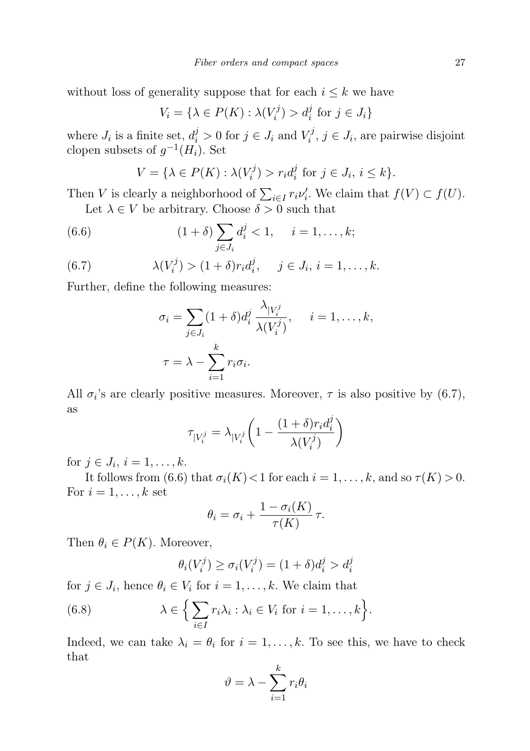without loss of generality suppose that for each  $i \leq k$  we have

$$
V_i = \{ \lambda \in P(K) : \lambda(V_i^j) > d_i^j \text{ for } j \in J_i \}
$$

where  $J_i$  is a finite set,  $d_i^j > 0$  for  $j \in J_i$  and  $V_i^j$  $i^j, j \in J_i$ , are pairwise disjoint clopen subsets of  $g^{-1}(H_i)$ . Set

$$
V = \{ \lambda \in P(K) : \lambda(V_i^j) > r_i d_i^j \text{ for } j \in J_i, i \leq k \}.
$$

Then V is clearly a neighborhood of  $\sum_{i\in I} r_i \nu'_i$ . We claim that  $f(V) \subset f(U)$ . Let  $\lambda \in V$  be arbitrary. Choose  $\delta > 0$  such that

(6.6) 
$$
(1+\delta) \sum_{j \in J_i} d_i^j < 1, \quad i = 1, ..., k;
$$

(6.7) 
$$
\lambda(V_i^j) > (1+\delta)r_i d_i^j, \quad j \in J_i, i = 1,...,k.
$$

Further, define the following measures:

$$
\sigma_i = \sum_{j \in J_i} (1 + \delta) d_i^j \frac{\lambda_{|V_i^j}}{\lambda(V_i^j)}, \quad i = 1, \dots, k,
$$

$$
\tau = \lambda - \sum_{i=1}^k r_i \sigma_i.
$$

All  $\sigma_i$ 's are clearly positive measures. Moreover,  $\tau$  is also positive by (6.7), as

$$
\tau_{|V_i^j} = \lambda_{|V_i^j} \left( 1 - \frac{(1+\delta)r_i d_i^j}{\lambda(V_i^j)} \right)
$$

for  $j \in J_i$ ,  $i = 1, ..., k$ .

It follows from (6.6) that  $\sigma_i(K) < 1$  for each  $i = 1, \ldots, k$ , and so  $\tau(K) > 0$ . For  $i = 1, \ldots, k$  set

$$
\theta_i = \sigma_i + \frac{1 - \sigma_i(K)}{\tau(K)} \tau.
$$

Then  $\theta_i \in P(K)$ . Moreover,

$$
\theta_i(V_i^j) \ge \sigma_i(V_i^j) = (1+\delta)d_i^j > d_i^j
$$

for  $j \in J_i$ , hence  $\theta_i \in V_i$  for  $i = 1, \ldots, k$ . We claim that

(6.8) 
$$
\lambda \in \left\{ \sum_{i \in I} r_i \lambda_i : \lambda_i \in V_i \text{ for } i = 1, ..., k \right\}.
$$

Indeed, we can take  $\lambda_i = \theta_i$  for  $i = 1, ..., k$ . To see this, we have to check that

$$
\vartheta = \lambda - \sum_{i=1}^{k} r_i \theta_i
$$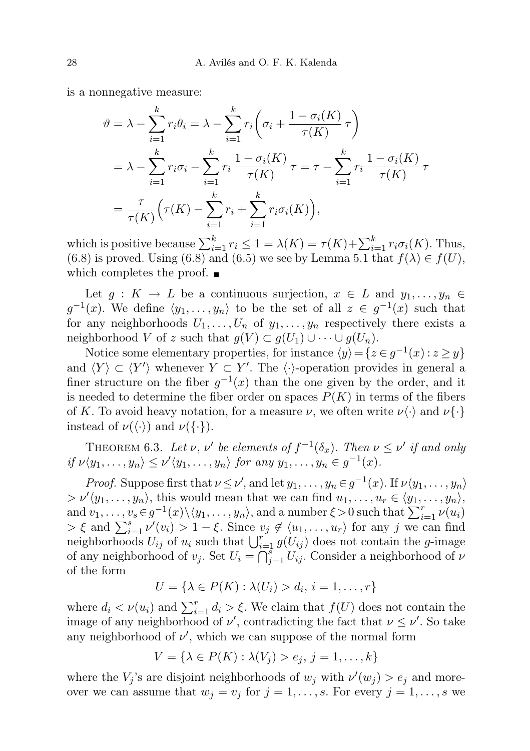is a nonnegative measure:

$$
\vartheta = \lambda - \sum_{i=1}^{k} r_i \theta_i = \lambda - \sum_{i=1}^{k} r_i \left( \sigma_i + \frac{1 - \sigma_i(K)}{\tau(K)} \tau \right)
$$
  
=  $\lambda - \sum_{i=1}^{k} r_i \sigma_i - \sum_{i=1}^{k} r_i \frac{1 - \sigma_i(K)}{\tau(K)} \tau = \tau - \sum_{i=1}^{k} r_i \frac{1 - \sigma_i(K)}{\tau(K)} \tau$   
=  $\frac{\tau}{\tau(K)} \left( \tau(K) - \sum_{i=1}^{k} r_i + \sum_{i=1}^{k} r_i \sigma_i(K) \right),$ 

which is positive because  $\sum_{i=1}^{k} r_i \leq 1 = \lambda(K) = \tau(K) + \sum_{i=1}^{k} r_i \sigma_i(K)$ . Thus, (6.8) is proved. Using (6.8) and (6.5) we see by Lemma 5.1 that  $f(\lambda) \in f(U)$ , which completes the proof.  $\blacksquare$ 

Let  $g: K \to L$  be a continuous surjection,  $x \in L$  and  $y_1, \ldots, y_n \in L$  $g^{-1}(x)$ . We define  $\langle y_1, \ldots, y_n \rangle$  to be the set of all  $z \in g^{-1}(x)$  such that for any neighborhoods  $U_1, \ldots, U_n$  of  $y_1, \ldots, y_n$  respectively there exists a neighborhood V of z such that  $g(V) \subset g(U_1) \cup \cdots \cup g(U_n)$ .

Notice some elementary properties, for instance  $\langle y \rangle = \{z \in g^{-1}(x) : z \geq y\}$ and  $\langle Y \rangle \subset \langle Y' \rangle$  whenever  $Y \subset Y'$ . The  $\langle \cdot \rangle$ -operation provides in general a finer structure on the fiber  $g^{-1}(x)$  than the one given by the order, and it is needed to determine the fiber order on spaces  $P(K)$  in terms of the fibers of K. To avoid heavy notation, for a measure  $\nu$ , we often write  $\nu \langle \cdot \rangle$  and  $\nu \{\cdot\}$ instead of  $\nu(\langle \cdot \rangle)$  and  $\nu(\{\cdot\}).$ 

THEOREM 6.3. Let  $\nu, \nu'$  be elements of  $f^{-1}(\delta_x)$ . Then  $\nu \leq \nu'$  if and only if  $\nu \langle y_1, \ldots, y_n \rangle \leq \nu' \langle y_1, \ldots, y_n \rangle$  for any  $y_1, \ldots, y_n \in g^{-1}(x)$ .

*Proof.* Suppose first that  $\nu \leq \nu'$ , and let  $y_1, \ldots, y_n \in g^{-1}(x)$ . If  $\nu \langle y_1, \ldots, y_n \rangle$  $> \nu'(y_1,\ldots,y_n)$ , this would mean that we can find  $u_1,\ldots,u_r \in \langle y_1,\ldots,y_n \rangle$ , and  $v_1, \ldots, v_s \in g^{-1}(x) \setminus \langle y_1, \ldots, y_n \rangle$ , and a number  $\xi > 0$  such that  $\sum_{i=1}^r \nu(u_i)$  $> \xi$  and  $\sum_{i=1}^{s} \nu'(v_i) > 1 - \xi$ . Since  $v_j \notin \langle u_1, \ldots, u_r \rangle$  for any j we can find neighborhoods  $U_{ij}$  of  $u_i$  such that  $\bigcup_{i=1}^r g(U_{ij})$  does not contain the g-image of any neighborhood of  $v_j$ . Set  $U_i = \bigcap_{j=1}^s U_{ij}$ . Consider a neighborhood of  $\nu$ of the form

$$
U = \{ \lambda \in P(K) : \lambda(U_i) > d_i, i = 1, \dots, r \}
$$

where  $d_i < \nu(u_i)$  and  $\sum_{i=1}^r d_i > \xi$ . We claim that  $f(U)$  does not contain the image of any neighborhood of  $\nu'$ , contradicting the fact that  $\nu \leq \nu'$ . So take any neighborhood of  $\nu'$ , which we can suppose of the normal form

$$
V = \{ \lambda \in P(K) : \lambda(V_j) > e_j, j = 1, \dots, k \}
$$

where the  $V_j$ 's are disjoint neighborhoods of  $w_j$  with  $\nu'(w_j) > e_j$  and moreover we can assume that  $w_j = v_j$  for  $j = 1, ..., s$ . For every  $j = 1, ..., s$  we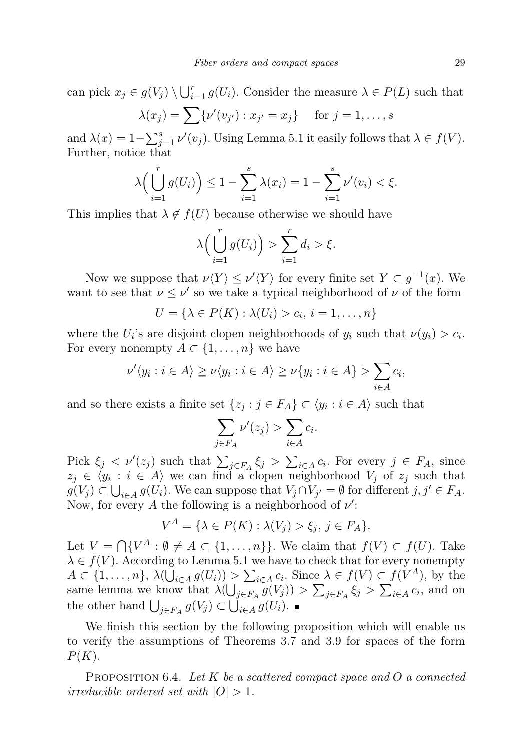can pick  $x_j \in g(V_j) \setminus \bigcup_{i=1}^r g(U_i)$ . Consider the measure  $\lambda \in P(L)$  such that

$$
\lambda(x_j) = \sum \{ \nu'(v_{j'}): x_{j'} = x_j \} \quad \text{for } j = 1, \dots, s
$$

and  $\lambda(x) = 1 - \sum_{j=1}^{s} \nu'(v_j)$ . Using Lemma 5.1 it easily follows that  $\lambda \in f(V)$ . Further, notice that

$$
\lambda\Big(\bigcup_{i=1}^r g(U_i)\Big) \le 1 - \sum_{i=1}^s \lambda(x_i) = 1 - \sum_{i=1}^s \nu'(v_i) < \xi.
$$

This implies that  $\lambda \notin f(U)$  because otherwise we should have

$$
\lambda\Big(\bigcup_{i=1}^r g(U_i)\Big) > \sum_{i=1}^r d_i > \xi.
$$

Now we suppose that  $\nu \langle Y \rangle \leq \nu' \langle Y \rangle$  for every finite set  $Y \subset g^{-1}(x)$ . We want to see that  $\nu \leq \nu'$  so we take a typical neighborhood of  $\nu$  of the form

$$
U = \{ \lambda \in P(K) : \lambda(U_i) > c_i, i = 1, \dots, n \}
$$

where the  $U_i$ 's are disjoint clopen neighborhoods of  $y_i$  such that  $\nu(y_i) > c_i$ . For every nonempty  $A \subset \{1, \ldots, n\}$  we have

$$
\nu'\langle y_i : i \in A \rangle \ge \nu\langle y_i : i \in A \rangle \ge \nu\{y_i : i \in A\} > \sum_{i \in A} c_i,
$$

and so there exists a finite set  $\{z_j : j \in F_A\} \subset \langle y_i : i \in A \rangle$  such that

$$
\sum_{j \in F_A} \nu'(z_j) > \sum_{i \in A} c_i.
$$

Pick  $\xi_j < \nu'(z_j)$  such that  $\sum_{j \in F_A} \xi_j > \sum_{i \in A} c_i$ . For every  $j \in F_A$ , since  $z_j \in \langle y_i : i \in A \rangle$  we can find a clopen neighborhood  $V_j$  of  $z_j$  such that  $g(V_j) \subset \bigcup_{i \in A} g(U_i)$ . We can suppose that  $V_j \cap V_{j'} = \emptyset$  for different  $j, j' \in F_A$ . Now, for every A the following is a neighborhood of  $\nu'$ :

$$
V^A = \{ \lambda \in P(K) : \lambda(V_j) > \xi_j, \ j \in F_A \}.
$$

Let  $V = \bigcap \{V^A : \emptyset \neq A \subset \{1, ..., n\}\}\.$  We claim that  $f(V) \subset f(U)$ . Take  $\lambda \in f(V)$ . According to Lemma 5.1 we have to check that for every nonempty  $A \subset \{1, \ldots, n\}, \ \lambda(\bigcup_{i \in A} g(U_i)) > \sum_{i \in A} c_i$ . Since  $\lambda \in f(V) \subset f(V^A)$ , by the same lemma we know that  $\lambda(\bigcup_{j\in F_A} g(V_j)) > \sum_{j\in F_A} \xi_j > \sum_{i\in A} c_i$ , and on the other hand  $\bigcup_{j\in F_A} g(V_j) \subset \bigcup_{i\in A} g(U_i)$ .

We finish this section by the following proposition which will enable us to verify the assumptions of Theorems 3.7 and 3.9 for spaces of the form  $P(K).$ 

PROPOSITION 6.4. Let K be a scattered compact space and O a connected irreducible ordered set with  $|O| > 1$ .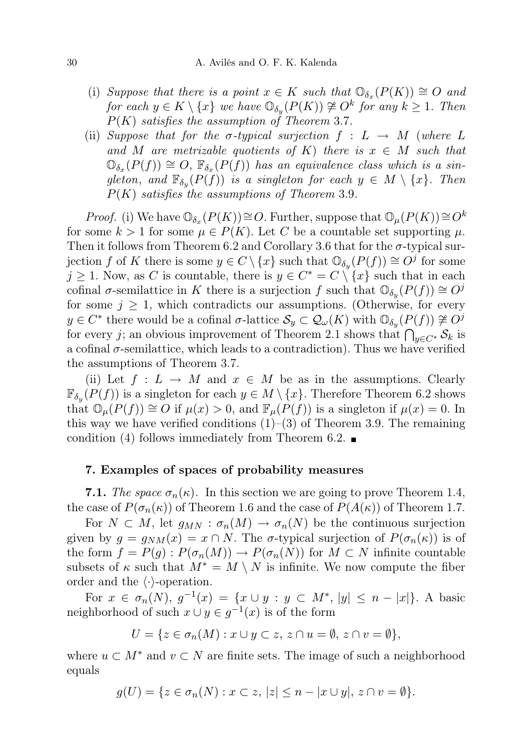- (i) Suppose that there is a point  $x \in K$  such that  $\mathbb{O}_{\delta_x}(P(K)) \cong O$  and for each  $y \in K \setminus \{x\}$  we have  $\mathbb{O}_{\delta_y}(P(K)) \ncong O^k$  for any  $k \geq 1$ . Then  $P(K)$  satisfies the assumption of Theorem 3.7.
- (ii) Suppose that for the  $\sigma$ -typical surjection  $f : L \to M$  (where L and M are metrizable quotients of K) there is  $x \in M$  such that  $\mathbb{O}_{\delta_x}(P(f)) \cong O$ ,  $\mathbb{F}_{\delta_x}(P(f))$  has an equivalence class which is a singleton, and  $\mathbb{F}_{\delta_y}(P(f))$  is a singleton for each  $y \in M \setminus \{x\}$ . Then  $P(K)$  satisfies the assumptions of Theorem 3.9.

*Proof.* (i) We have  $\mathbb{O}_{\delta_x}(P(K)) \cong O$ . Further, suppose that  $\mathbb{O}_{\mu}(P(K)) \cong O^k$ for some  $k > 1$  for some  $\mu \in P(K)$ . Let C be a countable set supporting  $\mu$ . Then it follows from Theorem 6.2 and Corollary 3.6 that for the  $\sigma$ -typical surjection f of K there is some  $y \in C \setminus \{x\}$  such that  $\mathbb{O}_{\delta_y}(P(f)) \cong O^{j}$  for some  $j \geq 1$ . Now, as C is countable, there is  $y \in C^* = C \setminus \{x\}$  such that in each cofinal  $\sigma$ -semilattice in K there is a surjection f such that  $\mathbb{O}_{\delta_y}(P(f)) \cong O^{\jmath}$ for some  $j \geq 1$ , which contradicts our assumptions. (Otherwise, for every  $y \in C^*$  there would be a cofinal  $\sigma$ -lattice  $\mathcal{S}_y \subset \mathcal{Q}_{\omega}(K)$  with  $\mathbb{O}_{\delta_y}(P(f)) \not\cong O^j$ for every j; an obvious improvement of Theorem 2.1 shows that  $\bigcap_{y \in C^*} \mathcal{S}_k$  is a cofinal  $\sigma$ -semilattice, which leads to a contradiction). Thus we have verified the assumptions of Theorem 3.7.

(ii) Let  $f: L \to M$  and  $x \in M$  be as in the assumptions. Clearly  $\mathbb{F}_{\delta_y}(P(f))$  is a singleton for each  $y \in M \setminus \{x\}$ . Therefore Theorem 6.2 shows that  $\mathbb{O}_{\mu}(P(f)) \cong O$  if  $\mu(x) > 0$ , and  $\mathbb{F}_{\mu}(P(f))$  is a singleton if  $\mu(x) = 0$ . In this way we have verified conditions  $(1)-(3)$  of Theorem 3.9. The remaining condition (4) follows immediately from Theorem 6.2.  $\blacksquare$ 

## 7. Examples of spaces of probability measures

**7.1.** The space  $\sigma_n(\kappa)$ . In this section we are going to prove Theorem 1.4, the case of  $P(\sigma_n(\kappa))$  of Theorem 1.6 and the case of  $P(A(\kappa))$  of Theorem 1.7.

For  $N \subset M$ , let  $g_{MN} : \sigma_n(M) \to \sigma_n(N)$  be the continuous surjection given by  $g = g_{NM}(x) = x \cap N$ . The  $\sigma$ -typical surjection of  $P(\sigma_n(\kappa))$  is of the form  $f = P(g) : P(\sigma_n(M)) \to P(\sigma_n(N))$  for  $M \subset N$  infinite countable subsets of  $\kappa$  such that  $M^* = M \setminus N$  is infinite. We now compute the fiber order and the  $\langle \cdot \rangle$ -operation.

For  $x \in \sigma_n(N)$ ,  $g^{-1}(x) = \{x \cup y : y \subset M^*, |y| \leq n - |x|\}.$  A basic neighborhood of such  $x \cup y \in g^{-1}(x)$  is of the form

$$
U = \{ z \in \sigma_n(M) : x \cup y \subset z, \ z \cap u = \emptyset, \ z \cap v = \emptyset \},\
$$

where  $u \subset M^*$  and  $v \subset N$  are finite sets. The image of such a neighborhood equals

$$
g(U) = \{ z \in \sigma_n(N) : x \subset z, \, |z| \leq n - |x \cup y|, \, z \cap v = \emptyset \}.
$$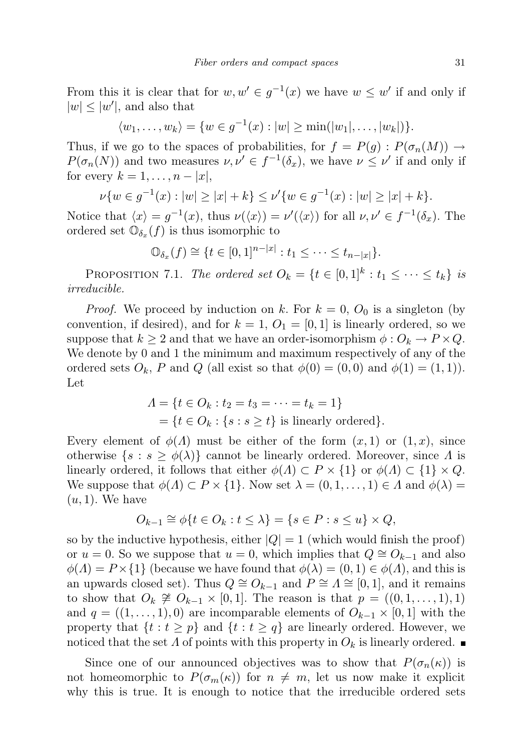From this it is clear that for  $w, w' \in g^{-1}(x)$  we have  $w \leq w'$  if and only if  $|w| \leq |w'|$ , and also that

 $\langle w_1, \ldots, w_k \rangle = \{ w \in g^{-1}(x) : |w| \ge \min(|w_1|, \ldots, |w_k|) \}.$ 

Thus, if we go to the spaces of probabilities, for  $f = P(g) : P(\sigma_n(M)) \to$  $P(\sigma_n(N))$  and two measures  $\nu, \nu' \in f^{-1}(\delta_x)$ , we have  $\nu \leq \nu'$  if and only if for every  $k = 1, \ldots, n - |x|$ ,

$$
\nu\{w \in g^{-1}(x) : |w| \ge |x| + k\} \le \nu'\{w \in g^{-1}(x) : |w| \ge |x| + k\}.
$$

Notice that  $\langle x \rangle = g^{-1}(x)$ , thus  $\nu(\langle x \rangle) = \nu'(\langle x \rangle)$  for all  $\nu, \nu' \in f^{-1}(\delta_x)$ . The ordered set  $\mathbb{O}_{\delta_x}(f)$  is thus isomorphic to

$$
\mathbb{O}_{\delta_x}(f) \cong \{t \in [0,1]^{n-|x|} : t_1 \leq \cdots \leq t_{n-|x|}\}.
$$

PROPOSITION 7.1. The ordered set  $O_k = \{t \in [0,1]^k : t_1 \leq \cdots \leq t_k\}$  is irreducible.

*Proof.* We proceed by induction on k. For  $k = 0$ ,  $O_0$  is a singleton (by convention, if desired), and for  $k = 1, O_1 = [0, 1]$  is linearly ordered, so we suppose that  $k \geq 2$  and that we have an order-isomorphism  $\phi : O_k \to P \times Q$ . We denote by 0 and 1 the minimum and maximum respectively of any of the ordered sets  $O_k$ , P and Q (all exist so that  $\phi(0) = (0,0)$  and  $\phi(1) = (1,1)$ ). Let

$$
\Lambda = \{t \in O_k : t_2 = t_3 = \dots = t_k = 1\}
$$
  
= 
$$
\{t \in O_k : \{s : s \ge t\} \text{ is linearly ordered}\}.
$$

Every element of  $\phi(\Lambda)$  must be either of the form  $(x, 1)$  or  $(1, x)$ , since otherwise  $\{s : s \ge \phi(\lambda)\}\$ cannot be linearly ordered. Moreover, since  $\Lambda$  is linearly ordered, it follows that either  $\phi(A) \subset P \times \{1\}$  or  $\phi(A) \subset \{1\} \times Q$ . We suppose that  $\phi(\Lambda) \subset P \times \{1\}$ . Now set  $\lambda = (0, 1, \ldots, 1) \in \Lambda$  and  $\phi(\lambda) =$  $(u, 1)$ . We have

$$
O_{k-1} \cong \phi\{t \in O_k : t \le \lambda\} = \{s \in P : s \le u\} \times Q,
$$

so by the inductive hypothesis, either  $|Q| = 1$  (which would finish the proof) or  $u = 0$ . So we suppose that  $u = 0$ , which implies that  $Q \cong O_{k-1}$  and also  $\phi(A) = P \times \{1\}$  (because we have found that  $\phi(\lambda) = (0, 1) \in \phi(A)$ , and this is an upwards closed set). Thus  $Q \cong O_{k-1}$  and  $P \cong \Lambda \cong [0,1]$ , and it remains to show that  $O_k \not\cong O_{k-1} \times [0,1]$ . The reason is that  $p = ((0,1,\ldots,1),1)$ and  $q = ((1, \ldots, 1), 0)$  are incomparable elements of  $O_{k-1} \times [0, 1]$  with the property that  $\{t : t \geq p\}$  and  $\{t : t \geq q\}$  are linearly ordered. However, we noticed that the set  $\Lambda$  of points with this property in  $O_k$  is linearly ordered.

Since one of our announced objectives was to show that  $P(\sigma_n(\kappa))$  is not homeomorphic to  $P(\sigma_m(\kappa))$  for  $n \neq m$ , let us now make it explicit why this is true. It is enough to notice that the irreducible ordered sets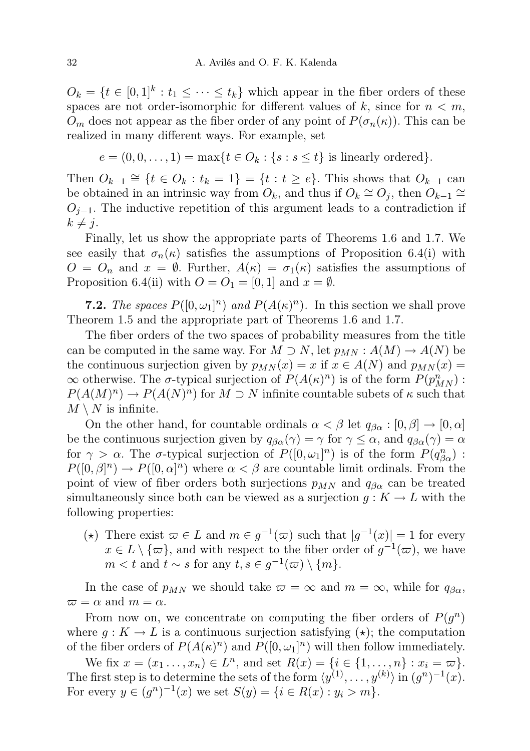$O_k = \{t \in [0,1]^k : t_1 \leq \cdots \leq t_k\}$  which appear in the fiber orders of these spaces are not order-isomorphic for different values of  $k$ , since for  $n < m$ ,  $O_m$  does not appear as the fiber order of any point of  $P(\sigma_n(\kappa))$ . This can be realized in many different ways. For example, set

 $e = (0, 0, \ldots, 1) = \max\{t \in O_k : \{s : s \leq t\} \text{ is linearly ordered}\}.$ 

Then  $O_{k-1} \cong \{t \in O_k : t_k = 1\} = \{t : t \ge e\}$ . This shows that  $O_{k-1}$  can be obtained in an intrinsic way from  $O_k$ , and thus if  $O_k \cong O_j$ , then  $O_{k-1} \cong$  $O_{j-1}$ . The inductive repetition of this argument leads to a contradiction if  $k \neq j$ .

Finally, let us show the appropriate parts of Theorems 1.6 and 1.7. We see easily that  $\sigma_n(\kappa)$  satisfies the assumptions of Proposition 6.4(i) with  $O = O_n$  and  $x = \emptyset$ . Further,  $A(\kappa) = \sigma_1(\kappa)$  satisfies the assumptions of Proposition 6.4(ii) with  $O = O_1 = [0, 1]$  and  $x = \emptyset$ .

**7.2.** The spaces  $P([0,\omega_1]^n)$  and  $P(A(\kappa)^n)$ . In this section we shall prove Theorem 1.5 and the appropriate part of Theorems 1.6 and 1.7.

The fiber orders of the two spaces of probability measures from the title can be computed in the same way. For  $M \supset N$ , let  $p_{MN} : A(M) \to A(N)$  be the continuous surjection given by  $p_{MN}(x) = x$  if  $x \in A(N)$  and  $p_{MN}(x) = x$  $\infty$  otherwise. The  $\sigma$ -typical surjection of  $P(A(\kappa)^n)$  is of the form  $P(p_{MN}^n)$ :  $P(A(M)^n) \to P(A(N)^n)$  for  $M \supset N$  infinite countable subets of  $\kappa$  such that  $M \setminus N$  is infinite.

On the other hand, for countable ordinals  $\alpha < \beta$  let  $q_{\beta\alpha} : [0, \beta] \to [0, \alpha]$ be the continuous surjection given by  $q_{\beta\alpha}(\gamma) = \gamma$  for  $\gamma \leq \alpha$ , and  $q_{\beta\alpha}(\gamma) = \alpha$ for  $\gamma > \alpha$ . The  $\sigma$ -typical surjection of  $P([0,\omega_1]^n)$  is of the form  $P(q_{\beta\alpha}^n)$ :  $P([0,\beta]^n) \to P([0,\alpha]^n)$  where  $\alpha < \beta$  are countable limit ordinals. From the point of view of fiber orders both surjections  $p_{MN}$  and  $q_{\beta\alpha}$  can be treated simultaneously since both can be viewed as a surjection  $g: K \to L$  with the following properties:

(\*) There exist  $\omega \in L$  and  $m \in g^{-1}(\omega)$  such that  $|g^{-1}(x)| = 1$  for every  $x \in L \setminus {\{\varpi\}}$ , and with respect to the fiber order of  $g^{-1}(\varpi)$ , we have  $m < t$  and  $t \sim s$  for any  $t, s \in g^{-1}(\varpi) \setminus \{m\}.$ 

In the case of  $p_{MN}$  we should take  $\varpi = \infty$  and  $m = \infty$ , while for  $q_{\beta\alpha}$ ,  $\varpi = \alpha$  and  $m = \alpha$ .

From now on, we concentrate on computing the fiber orders of  $P(g^n)$ where  $g: K \to L$  is a continuous surjection satisfying  $(\star)$ ; the computation of the fiber orders of  $P(A(\kappa)^n)$  and  $P([0,\omega_1]^n)$  will then follow immediately.

We fix  $x = (x_1, ..., x_n) \in L^n$ , and set  $R(x) = \{i \in \{1, ..., n\} : x_i = \varpi\}.$ The first step is to determine the sets of the form  $\langle y^{(1)}, \ldots, y^{(k)} \rangle$  in  $(g^n)^{-1}(x)$ . For every  $y \in (g^n)^{-1}(x)$  we set  $S(y) = \{i \in R(x) : y_i > m\}.$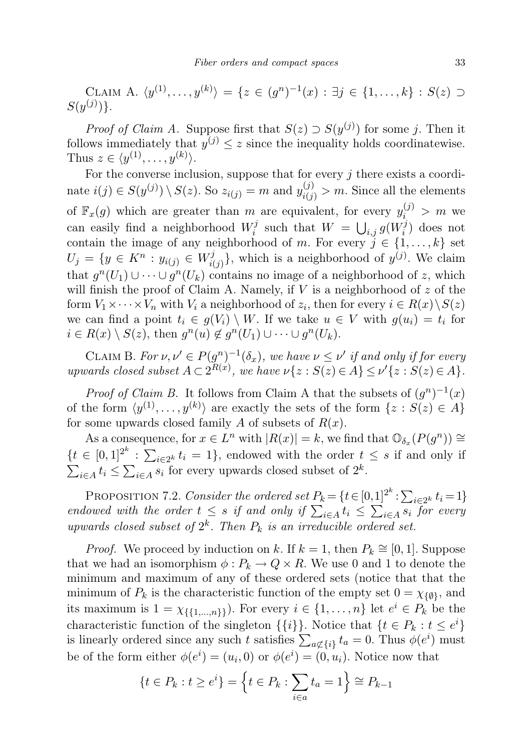CLAIM A.  $\langle y^{(1)}, \ldots, y^{(k)} \rangle = \{ z \in (g^n)^{-1}(x) : \exists j \in \{1, \ldots, k\} : S(z) \supset$  $S(y^{(j)})\}.$ 

*Proof of Claim A.* Suppose first that  $S(z) \supset S(y^{(j)})$  for some j. Then it follows immediately that  $y^{(j)} \leq z$  since the inequality holds coordinatewise. Thus  $z \in \langle y^{(1)}, \ldots, y^{(k)} \rangle$ .

For the converse inclusion, suppose that for every  $j$  there exists a coordinate  $i(j) \in S(y^{(j)}) \setminus S(z)$ . So  $z_{i(j)} = m$  and  $y_{i(j)}^{(j)} > m$ . Since all the elements of  $\mathbb{F}_x(g)$  which are greater than m are equivalent, for every  $y_i^{(j)} > m$  we can easily find a neighborhood  $W_i^j$  $\mathbf{y}_i^j$  such that  $W = \bigcup_{i,j} g(W_i^j)$  $\binom{J}{i}$  does not contain the image of any neighborhood of m. For every  $j \in \{1, \ldots, k\}$  set  $U_j = \{y \in K^n : y_{i(j)} \in W_{i(j)}^j\}$  $\{i(j)\}\$ , which is a neighborhood of  $y^{(j)}$ . We claim that  $g^n(U_1) \cup \cdots \cup g^n(U_k)$  contains no image of a neighborhood of z, which will finish the proof of Claim A. Namely, if  $V$  is a neighborhood of  $z$  of the form  $V_1 \times \cdots \times V_n$  with  $V_i$  a neighborhood of  $z_i$ , then for every  $i \in R(x) \setminus S(z)$ we can find a point  $t_i \in g(V_i) \setminus W$ . If we take  $u \in V$  with  $g(u_i) = t_i$  for  $i \in R(x) \setminus S(z)$ , then  $g^n(u) \notin g^n(U_1) \cup \cdots \cup g^n(U_k)$ .

CLAIM B. For  $\nu, \nu' \in P(g^n)^{-1}(\delta_x)$ , we have  $\nu \leq \nu'$  if and only if for every upwards closed subset  $A \subset 2^{R(x)}$ , we have  $\nu\{z : S(z) \in A\} \leq \nu'\{z : S(z) \in A\}.$ 

*Proof of Claim B.* It follows from Claim A that the subsets of  $(g^n)^{-1}(x)$ of the form  $\langle y^{(1)}, \ldots, y^{(k)} \rangle$  are exactly the sets of the form  $\{z : S(z) \in A\}$ for some upwards closed family A of subsets of  $R(x)$ .

As a consequence, for  $x \in L^n$  with  $|R(x)| = k$ , we find that  $\mathbb{O}_{\delta_x}(P(g^n)) \cong$  $\{t \in [0,1]^{2^k} : \sum_{i \in 2^k} t_i = 1\}$ , endowed with the order  $t \leq s$  if and only if  $\sum_{i\in A} t_i \leq \sum_{i\in A} s_i$  for every upwards closed subset of  $2^k$ .

PROPOSITION 7.2. Consider the ordered set  $P_k = \{t \in [0,1]^{2^k} : \sum_{i \in 2^k} t_i = 1\}$ endowed with the order  $t \leq s$  if and only if  $\sum_{i \in A} t_i \leq \sum_{i \in A} s_i$  for every upwards closed subset of  $2^k$ . Then  $P_k$  is an irreducible ordered set.

*Proof.* We proceed by induction on k. If  $k = 1$ , then  $P_k \cong [0, 1]$ . Suppose that we had an isomorphism  $\phi: P_k \to Q \times R$ . We use 0 and 1 to denote the minimum and maximum of any of these ordered sets (notice that that the minimum of  $P_k$  is the characteristic function of the empty set  $0 = \chi_{\{\emptyset\}}$ , and its maximum is  $1 = \chi_{\{\{1,\ldots,n\}\}}$ . For every  $i \in \{1,\ldots,n\}$  let  $e^i \in P_k$  be the characteristic function of the singleton  $\{\{i\}\}\$ . Notice that  $\{t \in P_k : t \leq e^i\}$ is linearly ordered since any such t satisfies  $\sum_{a \notin \{i\}} t_a = 0$ . Thus  $\phi(e^i)$  must be of the form either  $\phi(e^i) = (u_i, 0)$  or  $\phi(e^i) = (0, u_i)$ . Notice now that

$$
\{t \in P_k : t \ge e^i\} = \{t \in P_k : \sum_{i \in a} t_a = 1\} \cong P_{k-1}
$$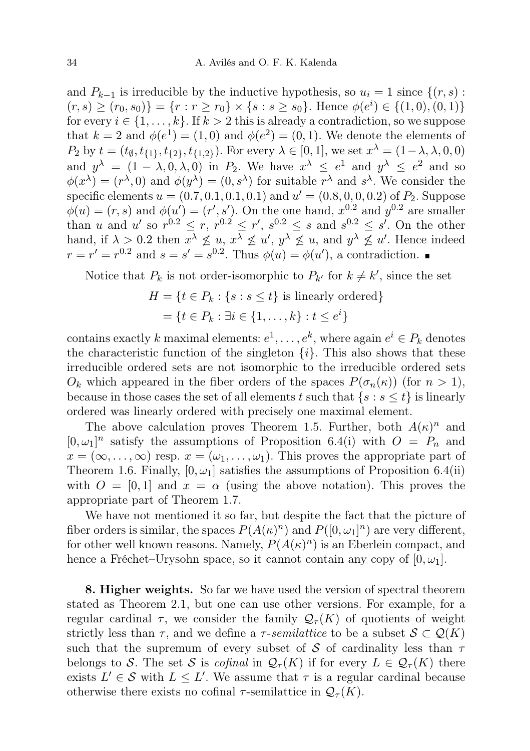and  $P_{k-1}$  is irreducible by the inductive hypothesis, so  $u_i = 1$  since  $\{(r, s):$  $(r, s) \ge (r_0, s_0)$ } =  $\{r : r \ge r_0\} \times \{s : s \ge s_0\}$ . Hence  $\phi(e^i) \in \{(1, 0), (0, 1)\}$ for every  $i \in \{1, ..., k\}$ . If  $k > 2$  this is already a contradiction, so we suppose that  $k = 2$  and  $\phi(e^1) = (1,0)$  and  $\phi(e^2) = (0,1)$ . We denote the elements of  $P_2$  by  $t = (t_{\emptyset}, t_{\{1\}}, t_{\{2\}}, t_{\{1,2\}})$ . For every  $\lambda \in [0, 1]$ , we set  $x^{\lambda} = (1 - \lambda, \lambda, 0, 0)$ and  $y^{\lambda} = (1 - \lambda, 0, \lambda, 0)$  in  $P_2$ . We have  $x^{\lambda} \le e^1$  and  $y^{\lambda} \le e^2$  and so  $\phi(x^{\lambda}) = (r^{\lambda}, 0)$  and  $\phi(y^{\lambda}) = (0, s^{\lambda})$  for suitable  $r^{\lambda}$  and  $s^{\lambda}$ . We consider the specific elements  $u = (0.7, 0.1, 0.1, 0.1)$  and  $u' = (0.8, 0, 0, 0.2)$  of  $P_2$ . Suppose  $\phi(u) = (r, s)$  and  $\phi(u') = (r', s')$ . On the one hand,  $x^{0.2}$  and  $y^{0.2}$  are smaller than u and u' so  $r^{0.2} \le r$ ,  $r^{0.2} \le r'$ ,  $s^{0.2} \le s$  and  $s^{0.2} \le s'$ . On the other hand, if  $\lambda > 0.2$  then  $x^{\lambda} \nleq u, x^{\lambda} \nleq u', y^{\lambda} \nleq u$ , and  $y^{\lambda} \nleq u'$ . Hence indeed  $r = r' = r^{0.2}$  and  $s = s' = s^{0.2}$ . Thus  $\phi(u) = \phi(u')$ , a contradiction.

Notice that  $P_k$  is not order-isomorphic to  $P_{k'}$  for  $k \neq k'$ , since the set

$$
H = \{t \in P_k : \{s : s \le t\} \text{ is linearly ordered}\}
$$

$$
= \{t \in P_k : \exists i \in \{1, \dots, k\} : t \le e^i\}
$$

contains exactly k maximal elements:  $e^1, \ldots, e^k$ , where again  $e^i \in P_k$  denotes the characteristic function of the singleton  $\{i\}$ . This also shows that these irreducible ordered sets are not isomorphic to the irreducible ordered sets  $O_k$  which appeared in the fiber orders of the spaces  $P(\sigma_n(\kappa))$  (for  $n > 1$ ), because in those cases the set of all elements t such that  $\{s : s \leq t\}$  is linearly ordered was linearly ordered with precisely one maximal element.

The above calculation proves Theorem 1.5. Further, both  $A(\kappa)^n$  and  $[0, \omega_1]^n$  satisfy the assumptions of Proposition 6.4(i) with  $O = P_n$  and  $x = (\infty, \ldots, \infty)$  resp.  $x = (\omega_1, \ldots, \omega_1)$ . This proves the appropriate part of Theorem 1.6. Finally,  $[0, \omega_1]$  satisfies the assumptions of Proposition 6.4(ii) with  $O = [0, 1]$  and  $x = \alpha$  (using the above notation). This proves the appropriate part of Theorem 1.7.

We have not mentioned it so far, but despite the fact that the picture of fiber orders is similar, the spaces  $P(A(\kappa)^n)$  and  $P([0,\omega_1]^n)$  are very different, for other well known reasons. Namely,  $P(A(\kappa)^n)$  is an Eberlein compact, and hence a Fréchet–Urysohn space, so it cannot contain any copy of  $[0, \omega_1]$ .

8. Higher weights. So far we have used the version of spectral theorem stated as Theorem 2.1, but one can use other versions. For example, for a regular cardinal  $\tau$ , we consider the family  $\mathcal{Q}_{\tau}(K)$  of quotients of weight strictly less than  $\tau$ , and we define a  $\tau$ -semilattice to be a subset  $\mathcal{S} \subset \mathcal{Q}(K)$ such that the supremum of every subset of S of cardinality less than  $\tau$ belongs to S. The set S is cofinal in  $\mathcal{Q}_{\tau}(K)$  if for every  $L \in \mathcal{Q}_{\tau}(K)$  there exists  $L' \in \mathcal{S}$  with  $L \leq L'$ . We assume that  $\tau$  is a regular cardinal because otherwise there exists no cofinal  $\tau$ -semilattice in  $\mathcal{Q}_{\tau}(K)$ .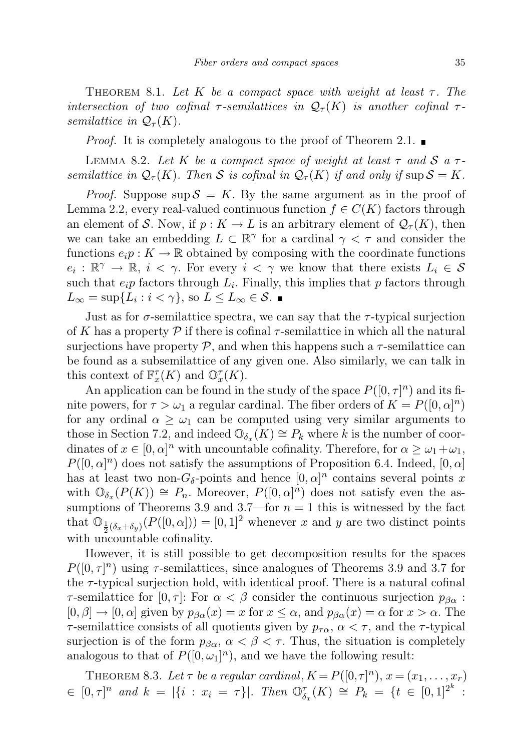THEOREM 8.1. Let K be a compact space with weight at least  $\tau$ . The intersection of two cofinal  $\tau$ -semilattices in  $\mathcal{Q}_{\tau}(K)$  is another cofinal  $\tau$ semilattice in  $\mathcal{Q}_{\tau}(K)$ .

*Proof.* It is completely analogous to the proof of Theorem 2.1.

LEMMA 8.2. Let K be a compact space of weight at least  $\tau$  and S a  $\tau$ semilattice in  $\mathcal{Q}_{\tau}(K)$ . Then S is cofinal in  $\mathcal{Q}_{\tau}(K)$  if and only if sup  $\mathcal{S} = K$ .

*Proof.* Suppose  $\sup S = K$ . By the same argument as in the proof of Lemma 2.2, every real-valued continuous function  $f \in C(K)$  factors through an element of S. Now, if  $p: K \to L$  is an arbitrary element of  $\mathcal{Q}_{\tau}(K)$ , then we can take an embedding  $L \subset \mathbb{R}^{\gamma}$  for a cardinal  $\gamma < \tau$  and consider the functions  $e_i p : K \to \mathbb{R}$  obtained by composing with the coordinate functions  $e_i: \mathbb{R}^{\gamma} \to \mathbb{R}, i < \gamma$ . For every  $i < \gamma$  we know that there exists  $L_i \in \mathcal{S}$ such that  $e_i p$  factors through  $L_i$ . Finally, this implies that p factors through  $L_{\infty} = \sup\{L_i : i < \gamma\},\$  so  $L \le L_{\infty} \in \mathcal{S}.$ 

Just as for  $\sigma$ -semilattice spectra, we can say that the  $\tau$ -typical surjection of K has a property  $\mathcal P$  if there is cofinal  $\tau$ -semilattice in which all the natural surjections have property  $\mathcal{P}$ , and when this happens such a  $\tau$ -semilattice can be found as a subsemilattice of any given one. Also similarly, we can talk in this context of  $\mathbb{F}_x^{\tau}(K)$  and  $\mathbb{O}_x^{\tau}(K)$ .

An application can be found in the study of the space  $P([0, \tau]^n)$  and its finite powers, for  $\tau > \omega_1$  a regular cardinal. The fiber orders of  $K = P([0, \alpha]^n)$ for any ordinal  $\alpha \geq \omega_1$  can be computed using very similar arguments to those in Section 7.2, and indeed  $\mathbb{O}_{\delta_x}(K) \cong P_k$  where k is the number of coordinates of  $x \in [0, \alpha]^n$  with uncountable cofinality. Therefore, for  $\alpha \ge \omega_1 + \omega_1$ ,  $P([0,\alpha]^n)$  does not satisfy the assumptions of Proposition 6.4. Indeed,  $[0,\alpha]$ has at least two non- $G_{\delta}$ -points and hence  $[0, \alpha]^n$  contains several points x with  $\mathbb{O}_{\delta_x}(P(K)) \cong P_n$ . Moreover,  $P([0,\alpha]^n)$  does not satisfy even the assumptions of Theorems 3.9 and 3.7—for  $n = 1$  this is witnessed by the fact that  $\mathbb{O}_{\frac{1}{2}(\delta_x+\delta_y)}(P([0,\alpha])) = [0,1]^2$  whenever x and y are two distinct points with uncountable cofinality.

However, it is still possible to get decomposition results for the spaces  $P([0, \tau]^n)$  using  $\tau$ -semilattices, since analogues of Theorems 3.9 and 3.7 for the  $\tau$ -typical surjection hold, with identical proof. There is a natural cofinal  $\tau$ -semilattice for  $[0, \tau]$ : For  $\alpha < \beta$  consider the continuous surjection  $p_{\beta \alpha}$ :  $[0, \beta] \to [0, \alpha]$  given by  $p_{\beta \alpha}(x) = x$  for  $x \le \alpha$ , and  $p_{\beta \alpha}(x) = \alpha$  for  $x > \alpha$ . The  $\tau$ -semilattice consists of all quotients given by  $p_{\tau\alpha}$ ,  $\alpha < \tau$ , and the  $\tau$ -typical surjection is of the form  $p_{\beta\alpha}$ ,  $\alpha < \beta < \tau$ . Thus, the situation is completely analogous to that of  $P([0, \omega_1]^n)$ , and we have the following result:

THEOREM 8.3. Let  $\tau$  be a regular cardinal,  $K = P([0,\tau]^n)$ ,  $x = (x_1, \ldots, x_r)$  $\in [0, \tau]^n$  and  $k = |\{i : x_i = \tau\}|$ . Then  $\mathbb{O}_{\delta_x}^{\tau}(K) \cong P_k = \{t \in [0, 1]^{2^k}$ :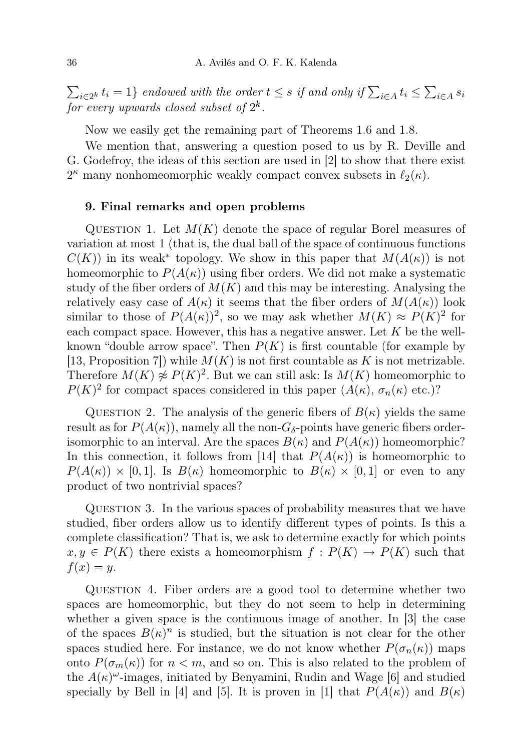$\sum_{i\in 2^k} t_i = 1$ } endowed with the order  $t \leq s$  if and only if  $\sum_{i\in A} t_i \leq \sum_{i\in A} s_i$ for every upwards closed subset of  $2^k$ .

Now we easily get the remaining part of Theorems 1.6 and 1.8.

We mention that, answering a question posed to us by R. Deville and G. Godefroy, the ideas of this section are used in [2] to show that there exist  $2^{\kappa}$  many nonhomeomorphic weakly compact convex subsets in  $\ell_2(\kappa)$ .

## 9. Final remarks and open problems

QUESTION 1. Let  $M(K)$  denote the space of regular Borel measures of variation at most 1 (that is, the dual ball of the space of continuous functions  $C(K)$  in its weak<sup>\*</sup> topology. We show in this paper that  $M(A(\kappa))$  is not homeomorphic to  $P(A(\kappa))$  using fiber orders. We did not make a systematic study of the fiber orders of  $M(K)$  and this may be interesting. Analysing the relatively easy case of  $A(\kappa)$  it seems that the fiber orders of  $M(A(\kappa))$  look similar to those of  $P(A(\kappa))^2$ , so we may ask whether  $M(K) \approx P(K)^2$  for each compact space. However, this has a negative answer. Let  $K$  be the wellknown "double arrow space". Then  $P(K)$  is first countable (for example by [13, Proposition 7]) while  $M(K)$  is not first countable as K is not metrizable. Therefore  $M(K) \not\approx P(K)^2$ . But we can still ask: Is  $M(K)$  homeomorphic to  $P(K)^2$  for compact spaces considered in this paper  $(A(\kappa), \sigma_n(\kappa))$  etc.)?

QUESTION 2. The analysis of the generic fibers of  $B(\kappa)$  yields the same result as for  $P(A(\kappa))$ , namely all the non- $G_{\delta}$ -points have generic fibers orderisomorphic to an interval. Are the spaces  $B(\kappa)$  and  $P(A(\kappa))$  homeomorphic? In this connection, it follows from [14] that  $P(A(\kappa))$  is homeomorphic to  $P(A(\kappa)) \times [0,1]$ . Is  $B(\kappa)$  homeomorphic to  $B(\kappa) \times [0,1]$  or even to any product of two nontrivial spaces?

QUESTION 3. In the various spaces of probability measures that we have studied, fiber orders allow us to identify different types of points. Is this a complete classification? That is, we ask to determine exactly for which points  $x, y \in P(K)$  there exists a homeomorphism  $f: P(K) \to P(K)$  such that  $f(x) = y$ .

Question 4. Fiber orders are a good tool to determine whether two spaces are homeomorphic, but they do not seem to help in determining whether a given space is the continuous image of another. In [3] the case of the spaces  $B(\kappa)^n$  is studied, but the situation is not clear for the other spaces studied here. For instance, we do not know whether  $P(\sigma_n(\kappa))$  maps onto  $P(\sigma_m(\kappa))$  for  $n < m$ , and so on. This is also related to the problem of the  $A(\kappa)^\omega$ -images, initiated by Benyamini, Rudin and Wage [6] and studied specially by Bell in [4] and [5]. It is proven in [1] that  $P(A(\kappa))$  and  $B(\kappa)$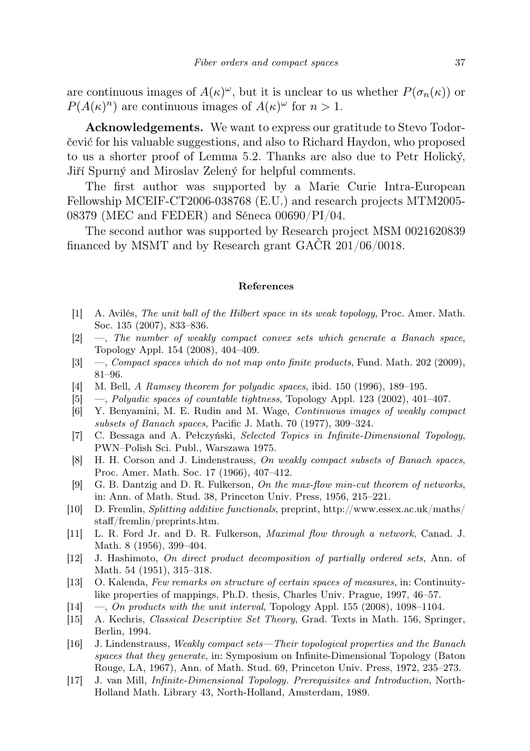are continuous images of  $A(\kappa)^\omega$ , but it is unclear to us whether  $P(\sigma_n(\kappa))$  or  $P(A(\kappa)^n)$  are continuous images of  $A(\kappa)^\omega$  for  $n > 1$ .

Acknowledgements. We want to express our gratitude to Stevo Todorčević for his valuable suggestions, and also to Richard Haydon, who proposed to us a shorter proof of Lemma 5.2. Thanks are also due to Petr Holický, Jiří Spurný and Miroslav Zelený for helpful comments.

The first author was supported by a Marie Curie Intra-European Fellowship MCEIF-CT2006-038768 (E.U.) and research projects MTM2005- 08379 (MEC and FEDER) and Séneca 00690/PI/04.

The second author was supported by Research project MSM 0021620839 financed by MSMT and by Research grant GAČR 201/06/0018.

## References

- [1] A. Avilés, The unit ball of the Hilbert space in its weak topology, Proc. Amer. Math. Soc. 135 (2007), 833–836.
- [2] —, The number of weakly compact convex sets which generate a Banach space, Topology Appl. 154 (2008), 404–409.
- [3] —, Compact spaces which do not map onto finite products, Fund. Math. 202 (2009), 81–96.
- [4] M. Bell, A Ramsey theorem for polyadic spaces, ibid. 150 (1996), 189–195.
- [5] —, *Polyadic spaces of countable tightness*, Topology Appl. 123 (2002), 401–407.
- [6] Y. Benyamini, M. E. Rudin and M. Wage, Continuous images of weakly compact subsets of Banach spaces, Pacific J. Math. 70 (1977), 309–324.
- [7] C. Bessaga and A. Pełczyński, Selected Topics in Infinite-Dimensional Topology, PWN–Polish Sci. Publ., Warszawa 1975.
- [8] H. H. Corson and J. Lindenstrauss, On weakly compact subsets of Banach spaces, Proc. Amer. Math. Soc. 17 (1966), 407–412.
- [9] G. B. Dantzig and D. R. Fulkerson, On the max-flow min-cut theorem of networks, in: Ann. of Math. Stud. 38, Princeton Univ. Press, 1956, 215–221.
- [10] D. Fremlin, Splitting additive functionals, preprint, http://www.essex.ac.uk/maths/ staff/fremlin/preprints.htm.
- [11] L. R. Ford Jr. and D. R. Fulkerson, Maximal flow through a network, Canad. J. Math. 8 (1956), 399–404.
- [12] J. Hashimoto, On direct product decomposition of partially ordered sets, Ann. of Math. 54 (1951), 315–318.
- [13] O. Kalenda, Few remarks on structure of certain spaces of measures, in: Continuitylike properties of mappings, Ph.D. thesis, Charles Univ. Prague, 1997, 46–57.
- $[14] \quad -$ , On products with the unit interval, Topology Appl. 155 (2008), 1098–1104.
- [15] A. Kechris, Classical Descriptive Set Theory, Grad. Texts in Math. 156, Springer, Berlin, 1994.
- [16] J. Lindenstrauss, Weakly compact sets—Their topological properties and the Banach spaces that they generate, in: Symposium on Infinite-Dimensional Topology (Baton Rouge, LA, 1967), Ann. of Math. Stud. 69, Princeton Univ. Press, 1972, 235–273.
- [17] J. van Mill, Infinite-Dimensional Topology. Prerequisites and Introduction, North-Holland Math. Library 43, North-Holland, Amsterdam, 1989.